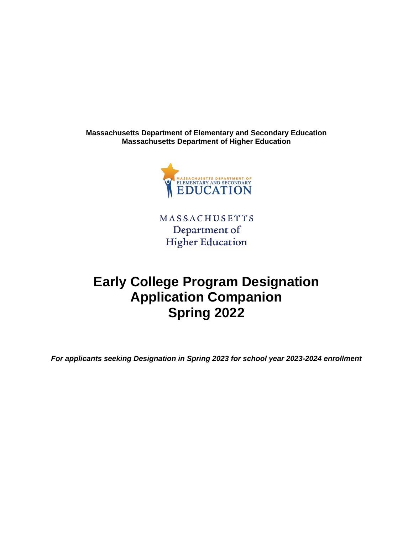**Massachusetts Department of Elementary and Secondary Education Massachusetts Department of Higher Education**



**MASSACHUSETTS** Department of **Higher Education** 

# **Early College Program Designation Application Companion Spring 2022**

*For applicants seeking Designation in Spring 2023 for school year 2023-2024 enrollment*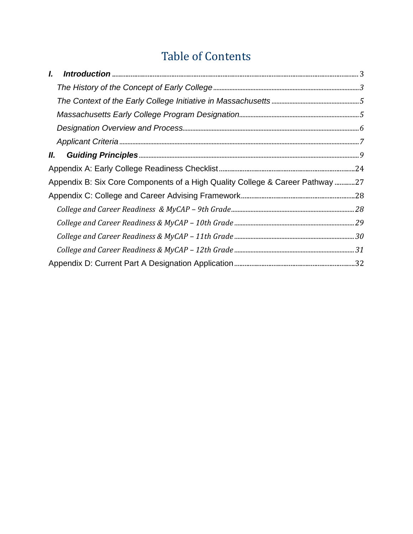# Table of Contents

| I.  |                                                                               |  |
|-----|-------------------------------------------------------------------------------|--|
|     |                                                                               |  |
|     |                                                                               |  |
|     |                                                                               |  |
|     |                                                                               |  |
|     |                                                                               |  |
| II. |                                                                               |  |
|     |                                                                               |  |
|     | Appendix B: Six Core Components of a High Quality College & Career Pathway 27 |  |
|     |                                                                               |  |
|     |                                                                               |  |
|     |                                                                               |  |
|     |                                                                               |  |
|     |                                                                               |  |
|     |                                                                               |  |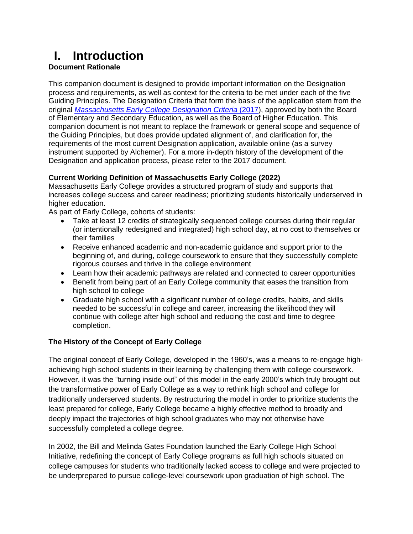# <span id="page-2-0"></span>**I. Introduction**

#### **Document Rationale**

This companion document is designed to provide important information on the Designation process and requirements, as well as context for the criteria to be met under each of the five Guiding Principles. The Designation Criteria that form the basis of the application stem from the original *[Massachusetts Early College Designation Criteria](https://www.doe.mass.edu/ccte/early-college/designation-criteria.pdf)* (2017), approved by both the Board of Elementary and Secondary Education, as well as the Board of Higher Education. This companion document is not meant to replace the framework or general scope and sequence of the Guiding Principles, but does provide updated alignment of, and clarification for, the requirements of the most current Designation application, available online (as a survey instrument supported by Alchemer). For a more in-depth history of the development of the Designation and application process, please refer to the 2017 document.

#### **Current Working Definition of Massachusetts Early College (2022)**

Massachusetts Early College provides a structured program of study and supports that increases college success and career readiness; prioritizing students historically underserved in higher education.

As part of Early College, cohorts of students:

- Take at least 12 credits of strategically sequenced college courses during their regular (or intentionally redesigned and integrated) high school day, at no cost to themselves or their families
- Receive enhanced academic and non-academic guidance and support prior to the beginning of, and during, college coursework to ensure that they successfully complete rigorous courses and thrive in the college environment
- Learn how their academic pathways are related and connected to career opportunities
- Benefit from being part of an Early College community that eases the transition from high school to college
- Graduate high school with a significant number of college credits, habits, and skills needed to be successful in college and career, increasing the likelihood they will continue with college after high school and reducing the cost and time to degree completion.

#### <span id="page-2-1"></span>**The History of the Concept of Early College**

The original concept of Early College, developed in the 1960's, was a means to re-engage highachieving high school students in their learning by challenging them with college coursework. However, it was the "turning inside out" of this model in the early 2000's which truly brought out the transformative power of Early College as a way to rethink high school and college for traditionally underserved students. By restructuring the model in order to prioritize students the least prepared for college, Early College became a highly effective method to broadly and deeply impact the trajectories of high school graduates who may not otherwise have successfully completed a college degree.

In 2002, the Bill and Melinda Gates Foundation launched the Early College High School Initiative, redefining the concept of Early College programs as full high schools situated on college campuses for students who traditionally lacked access to college and were projected to be underprepared to pursue college-level coursework upon graduation of high school. The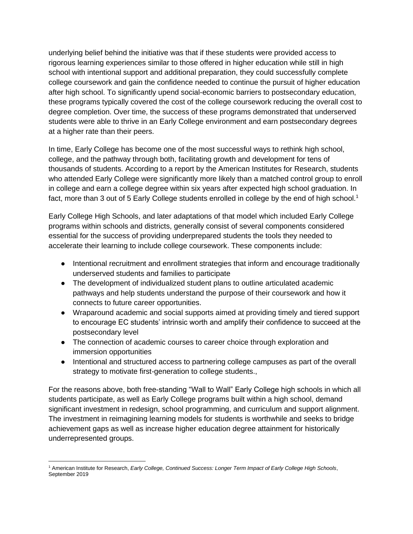underlying belief behind the initiative was that if these students were provided access to rigorous learning experiences similar to those offered in higher education while still in high school with intentional support and additional preparation, they could successfully complete college coursework and gain the confidence needed to continue the pursuit of higher education after high school. To significantly upend social-economic barriers to postsecondary education, these programs typically covered the cost of the college coursework reducing the overall cost to degree completion. Over time, the success of these programs demonstrated that underserved students were able to thrive in an Early College environment and earn postsecondary degrees at a higher rate than their peers.

In time, Early College has become one of the most successful ways to rethink high school, college, and the pathway through both, facilitating growth and development for tens of thousands of students. According to a report by the American Institutes for Research, students who attended Early College were significantly more likely than a matched control group to enroll in college and earn a college degree within six years after expected high school graduation. In fact, more than 3 out of 5 Early College students enrolled in college by the end of high school.<sup>1</sup>

Early College High Schools, and later adaptations of that model which included Early College programs within schools and districts, generally consist of several components considered essential for the success of providing underprepared students the tools they needed to accelerate their learning to include college coursework. These components include:

- Intentional recruitment and enrollment strategies that inform and encourage traditionally underserved students and families to participate
- The development of individualized student plans to outline articulated academic pathways and help students understand the purpose of their coursework and how it connects to future career opportunities.
- Wraparound academic and social supports aimed at providing timely and tiered support to encourage EC students' intrinsic worth and amplify their confidence to succeed at the postsecondary level
- The connection of academic courses to career choice through exploration and immersion opportunities
- Intentional and structured access to partnering college campuses as part of the overall strategy to motivate first-generation to college students.,

For the reasons above, both free-standing "Wall to Wall" Early College high schools in which all students participate, as well as Early College programs built within a high school, demand significant investment in redesign, school programming, and curriculum and support alignment. The investment in reimagining learning models for students is worthwhile and seeks to bridge achievement gaps as well as increase higher education degree attainment for historically underrepresented groups.

<sup>1</sup> American Institute for Research, *Early College, Continued Success: Longer Term Impact of Early College High Schools*, September 2019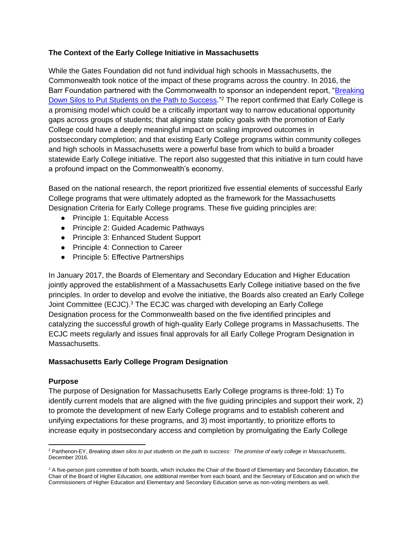#### <span id="page-4-0"></span>**The Context of the Early College Initiative in Massachusetts**

While the Gates Foundation did not fund individual high schools in Massachusetts, the Commonwealth took notice of the impact of these programs across the country. In 2016, the Barr Foundation partnered with the Commonwealth to sponsor an independent report, ["Breaking](https://cdn.ey.com/parthenon/pdf/perspectives/Early-college_Report_final_web.122016.pdf)  [Down Silos to Put Students on the Path to Success.](https://cdn.ey.com/parthenon/pdf/perspectives/Early-college_Report_final_web.122016.pdf)"<sup>2</sup> The report confirmed that Early College is a promising model which could be a critically important way to narrow educational opportunity gaps across groups of students; that aligning state policy goals with the promotion of Early College could have a deeply meaningful impact on scaling improved outcomes in postsecondary completion; and that existing Early College programs within community colleges and high schools in Massachusetts were a powerful base from which to build a broader statewide Early College initiative. The report also suggested that this initiative in turn could have a profound impact on the Commonwealth's economy.

Based on the national research, the report prioritized five essential elements of successful Early College programs that were ultimately adopted as the framework for the Massachusetts Designation Criteria for Early College programs. These five guiding principles are:

- Principle 1: Equitable Access
- Principle 2: Guided Academic Pathways
- Principle 3: Enhanced Student Support
- Principle 4: Connection to Career
- Principle 5: Effective Partnerships

In January 2017, the Boards of Elementary and Secondary Education and Higher Education jointly approved the establishment of a Massachusetts Early College initiative based on the five principles. In order to develop and evolve the initiative, the Boards also created an Early College Joint Committee (ECJC).<sup>3</sup> The ECJC was charged with developing an Early College Designation process for the Commonwealth based on the five identified principles and catalyzing the successful growth of high-quality Early College programs in Massachusetts. The ECJC meets regularly and issues final approvals for all Early College Program Designation in Massachusetts.

#### <span id="page-4-1"></span>**Massachusetts Early College Program Designation**

#### **Purpose**

The purpose of Designation for Massachusetts Early College programs is three-fold: 1) To identify current models that are aligned with the five guiding principles and support their work, 2) to promote the development of new Early College programs and to establish coherent and unifying expectations for these programs, and 3) most importantly, to prioritize efforts to increase equity in postsecondary access and completion by promulgating the Early College

<sup>2</sup> Parthenon-EY, *Breaking down silos to put students on the path to success: The promise of early college in Massachusetts*, December 2016.

<sup>&</sup>lt;sup>3</sup> A five-person joint committee of both boards, which includes the Chair of the Board of Elementary and Secondary Education, the Chair of the Board of Higher Education, one additional member from each board, and the Secretary of Education and on which the Commissioners of Higher Education and Elementary and Secondary Education serve as non-voting members as well.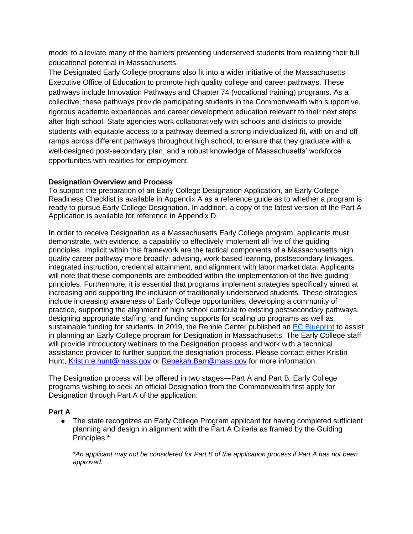model to alleviate many of the barriers preventing underserved students from realizing their full educational potential in Massachusetts.

The Designated Early College programs also fit into a wider initiative of the Massachusetts Executive Office of Education to promote high quality college and career pathways. These pathways include Innovation Pathways and Chapter 74 (vocational training) programs. As a collective, these pathways provide participating students in the Commonwealth with supportive, rigorous academic experiences and career development education relevant to their next steps after high school. State agencies work collaboratively with schools and districts to provide students with equitable access to a pathway deemed a strong individualized fit, with on and off ramps across different pathways throughout high school, to ensure that they graduate with a well-designed post-secondary plan, and a robust knowledge of Massachusetts' workforce opportunities with realities for employment*.*

#### <span id="page-5-0"></span>**Designation Overview and Process**

To support the preparation of an Early College Designation Application, an Early College Readiness Checklist is available in Appendix A as a reference guide as to whether a program is ready to pursue Early College Designation. In addition, a copy of the latest version of the Part A Application is available for reference in Appendix D.

In order to receive Designation as a Massachusetts Early College program, applicants must demonstrate, with evidence, a capability to effectively implement all five of the guiding principles. Implicit within this framework are the tactical components of a Massachusetts high quality career pathway more broadly: advising, work-based learning, postsecondary linkages, integrated instruction, credential attainment, and alignment with labor market data. Applicants will note that these components are embedded within the implementation of the five guiding principles. Furthermore, it is essential that programs implement strategies specifically aimed at increasing and supporting the inclusion of traditionally underserved students. These strategies include increasing awareness of Early College opportunities, developing a community of practice, supporting the alignment of high school curricula to existing postsecondary pathways, designing appropriate staffing, and funding supports for scaling up programs as well as sustainable funding for students. In 2019, the Rennie Center published an [EC Blueprint](https://www.renniecenter.org/sites/default/files/2019-09/Early%20College%20Blueprint%20FINAL.pdf) to assist in planning an Early College program for Designation in Massachusetts. The Early College staff will provide introductory webinars to the Designation process and work with a technical assistance provider to further support the designation process. Please contact either Kristin Hunt, [Kristin.e.hunt@mass.gov](mailto:Kristin.e.hunt@mass.gov) or [Rebekah.Barr@mass.gov](mailto:Rebekah.Barr@mass.gov) for more information.

The Designation process will be offered in two stages—Part A and Part B. Early College programs wishing to seek an official Designation from the Commonwealth first apply for Designation through Part A of the application.

#### **Part A**

• The state recognizes an Early College Program applicant for having completed sufficient planning and design in alignment with the Part A Criteria as framed by the Guiding Principles.\*

*\*An applicant may not be considered for Part B of the application process if Part A has not been approved.*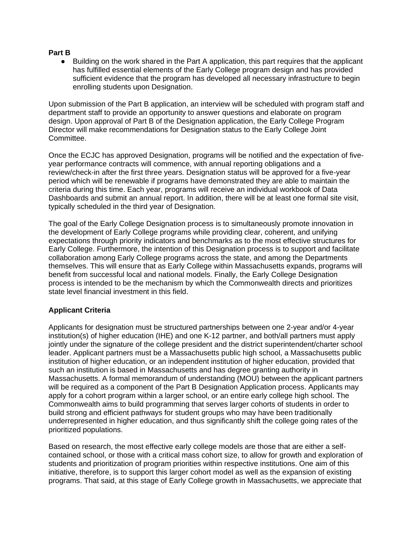#### **Part B**

● Building on the work shared in the Part A application, this part requires that the applicant has fulfilled essential elements of the Early College program design and has provided sufficient evidence that the program has developed all necessary infrastructure to begin enrolling students upon Designation.

Upon submission of the Part B application, an interview will be scheduled with program staff and department staff to provide an opportunity to answer questions and elaborate on program design. Upon approval of Part B of the Designation application, the Early College Program Director will make recommendations for Designation status to the Early College Joint Committee.

Once the ECJC has approved Designation, programs will be notified and the expectation of fiveyear performance contracts will commence, with annual reporting obligations and a review/check-in after the first three years. Designation status will be approved for a five-year period which will be renewable if programs have demonstrated they are able to maintain the criteria during this time. Each year, programs will receive an individual workbook of Data Dashboards and submit an annual report. In addition, there will be at least one formal site visit, typically scheduled in the third year of Designation.

The goal of the Early College Designation process is to simultaneously promote innovation in the development of Early College programs while providing clear, coherent, and unifying expectations through priority indicators and benchmarks as to the most effective structures for Early College. Furthermore, the intention of this Designation process is to support and facilitate collaboration among Early College programs across the state, and among the Departments themselves. This will ensure that as Early College within Massachusetts expands, programs will benefit from successful local and national models. Finally, the Early College Designation process is intended to be the mechanism by which the Commonwealth directs and prioritizes state level financial investment in this field.

#### <span id="page-6-0"></span>**Applicant Criteria**

Applicants for designation must be structured partnerships between one 2-year and/or 4-year institution(s) of higher education (IHE) and one K-12 partner, and both/all partners must apply jointly under the signature of the college president and the district superintendent/charter school leader. Applicant partners must be a Massachusetts public high school, a Massachusetts public institution of higher education, or an independent institution of higher education, provided that such an institution is based in Massachusetts and has degree granting authority in Massachusetts. A formal memorandum of understanding (MOU) between the applicant partners will be required as a component of the Part B Designation Application process. Applicants may apply for a cohort program within a larger school, or an entire early college high school. The Commonwealth aims to build programming that serves larger cohorts of students in order to build strong and efficient pathways for student groups who may have been traditionally underrepresented in higher education, and thus significantly shift the college going rates of the prioritized populations.

Based on research, the most effective early college models are those that are either a selfcontained school, or those with a critical mass cohort size, to allow for growth and exploration of students and prioritization of program priorities within respective institutions. One aim of this initiative, therefore, is to support this larger cohort model as well as the expansion of existing programs. That said, at this stage of Early College growth in Massachusetts, we appreciate that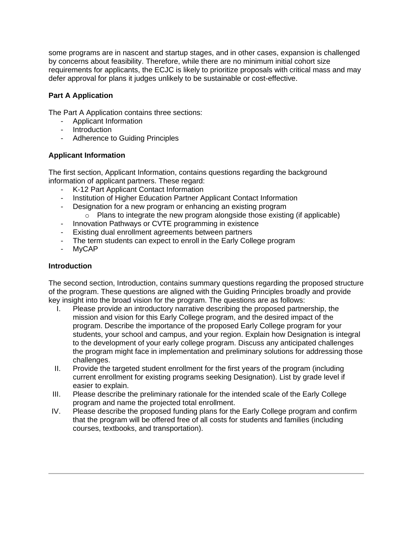some programs are in nascent and startup stages, and in other cases, expansion is challenged by concerns about feasibility. Therefore, while there are no minimum initial cohort size requirements for applicants, the ECJC is likely to prioritize proposals with critical mass and may defer approval for plans it judges unlikely to be sustainable or cost-effective.

#### **Part A Application**

The Part A Application contains three sections:

- Applicant Information
- Introduction
- Adherence to Guiding Principles

#### **Applicant Information**

The first section, Applicant Information, contains questions regarding the background information of applicant partners. These regard:

- K-12 Part Applicant Contact Information
- Institution of Higher Education Partner Applicant Contact Information
- Designation for a new program or enhancing an existing program
	- $\circ$  Plans to integrate the new program alongside those existing (if applicable)
- Innovation Pathways or CVTE programming in existence
- Existing dual enrollment agreements between partners
- The term students can expect to enroll in the Early College program
- MyCAP

#### **Introduction**

The second section, Introduction, contains summary questions regarding the proposed structure of the program. These questions are aligned with the Guiding Principles broadly and provide key insight into the broad vision for the program. The questions are as follows:

- I. Please provide an introductory narrative describing the proposed partnership, the mission and vision for this Early College program, and the desired impact of the program. Describe the importance of the proposed Early College program for your students, your school and campus, and your region. Explain how Designation is integral to the development of your early college program. Discuss any anticipated challenges the program might face in implementation and preliminary solutions for addressing those challenges.
- II. Provide the targeted student enrollment for the first years of the program (including current enrollment for existing programs seeking Designation). List by grade level if easier to explain.
- III. Please describe the preliminary rationale for the intended scale of the Early College program and name the projected total enrollment.
- IV. Please describe the proposed funding plans for the Early College program and confirm that the program will be offered free of all costs for students and families (including courses, textbooks, and transportation).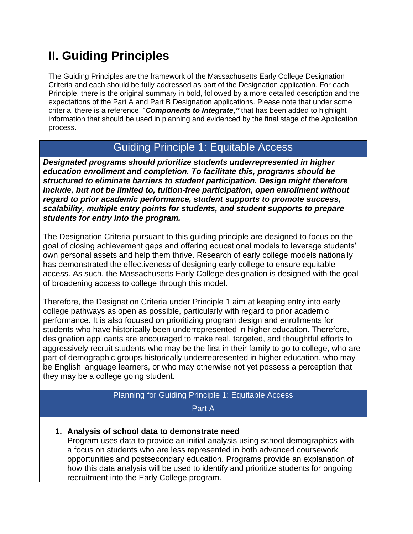# <span id="page-8-0"></span>**II. Guiding Principles**

The Guiding Principles are the framework of the Massachusetts Early College Designation Criteria and each should be fully addressed as part of the Designation application. For each Principle, there is the original summary in bold, followed by a more detailed description and the expectations of the Part A and Part B Designation applications. Please note that under some criteria, there is a reference, "*Components to Integrate,"* that has been added to highlight information that should be used in planning and evidenced by the final stage of the Application process.

# Guiding Principle 1: Equitable Access

*Designated programs should prioritize students underrepresented in higher education enrollment and completion. To facilitate this, programs should be structured to eliminate barriers to student participation. Design might therefore include, but not be limited to, tuition-free participation, open enrollment without regard to prior academic performance, student supports to promote success, scalability, multiple entry points for students, and student supports to prepare students for entry into the program.*

The Designation Criteria pursuant to this guiding principle are designed to focus on the goal of closing achievement gaps and offering educational models to leverage students' own personal assets and help them thrive. Research of early college models nationally has demonstrated the effectiveness of designing early college to ensure equitable access. As such, the Massachusetts Early College designation is designed with the goal of broadening access to college through this model.

Therefore, the Designation Criteria under Principle 1 aim at keeping entry into early college pathways as open as possible, particularly with regard to prior academic performance. It is also focused on prioritizing program design and enrollments for students who have historically been underrepresented in higher education. Therefore, designation applicants are encouraged to make real, targeted, and thoughtful efforts to aggressively recruit students who may be the first in their family to go to college, who are part of demographic groups historically underrepresented in higher education, who may be English language learners, or who may otherwise not yet possess a perception that they may be a college going student.

## Planning for Guiding Principle 1: Equitable Access

Part A

**1. Analysis of school data to demonstrate need**

Program uses data to provide an initial analysis using school demographics with a focus on students who are less represented in both advanced coursework opportunities and postsecondary education. Programs provide an explanation of how this data analysis will be used to identify and prioritize students for ongoing recruitment into the Early College program.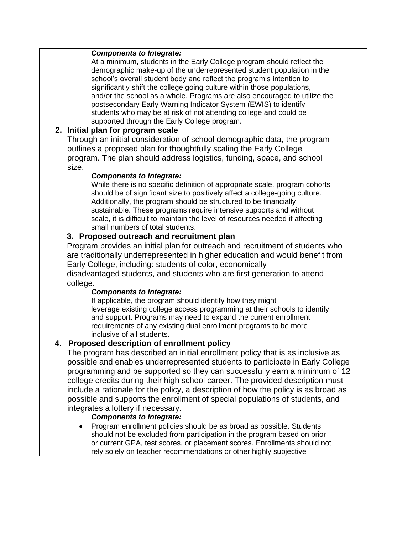#### *Components to Integrate:*

At a minimum, students in the Early College program should reflect the demographic make-up of the underrepresented student population in the school's overall student body and reflect the program's intention to significantly shift the college going culture within those populations, and/or the school as a whole. Programs are also encouraged to utilize the postsecondary Early Warning Indicator System (EWIS) to identify students who may be at risk of not attending college and could be supported through the Early College program.

#### **2. Initial plan for program scale**

Through an initial consideration of school demographic data, the program outlines a proposed plan for thoughtfully scaling the Early College program. The plan should address logistics, funding, space, and school size.

#### *Components to Integrate:*

While there is no specific definition of appropriate scale, program cohorts should be of significant size to positively affect a college-going culture. Additionally, the program should be structured to be financially sustainable. These programs require intensive supports and without scale, it is difficult to maintain the level of resources needed if affecting small numbers of total students.

#### **3. Proposed outreach and recruitment plan**

Program provides an initial plan for outreach and recruitment of students who are traditionally underrepresented in higher education and would benefit from Early College, including: students of color, economically disadvantaged students, and students who are first generation to attend college.

#### *Components to Integrate:*

If applicable, the program should identify how they might leverage existing college access programming at their schools to identify and support. Programs may need to expand the current enrollment requirements of any existing dual enrollment programs to be more inclusive of all students.

#### **4. Proposed description of enrollment policy**

The program has described an initial enrollment policy that is as inclusive as possible and enables underrepresented students to participate in Early College programming and be supported so they can successfully earn a minimum of 12 college credits during their high school career. The provided description must include a rationale for the policy, a description of how the policy is as broad as possible and supports the enrollment of special populations of students, and integrates a lottery if necessary.

#### *Components to Integrate:*

• Program enrollment policies should be as broad as possible. Students should not be excluded from participation in the program based on prior or current GPA, test scores, or placement scores. Enrollments should not rely solely on teacher recommendations or other highly subjective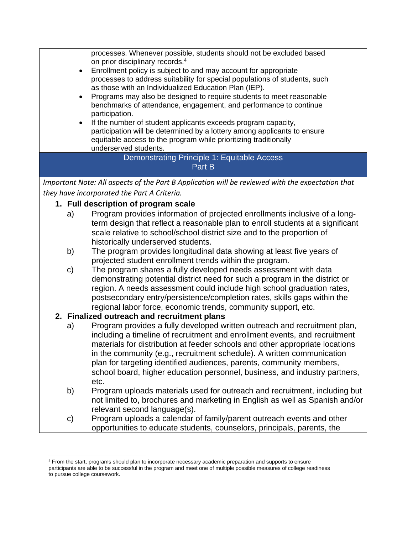processes. Whenever possible, students should not be excluded based on prior disciplinary records.<sup>4</sup> • Enrollment policy is subject to and may account for appropriate processes to address suitability for special populations of students, such as those with an Individualized Education Plan (IEP). • Programs may also be designed to require students to meet reasonable benchmarks of attendance, engagement, and performance to continue participation. If the number of student applicants exceeds program capacity, participation will be determined by a lottery among applicants to ensure equitable access to the program while prioritizing traditionally underserved students. Demonstrating Principle 1: Equitable Access Part B *Important Note: All aspects of the Part B Application will be reviewed with the expectation that they have incorporated the Part A Criteria.*  **1. Full description of program scale** a) Program provides information of projected enrollments inclusive of a longterm design that reflect a reasonable plan to enroll students at a significant scale relative to school/school district size and to the proportion of historically underserved students. b) The program provides longitudinal data showing at least five years of projected student enrollment trends within the program.

c) The program shares a fully developed needs assessment with data demonstrating potential district need for such a program in the district or region. A needs assessment could include high school graduation rates, postsecondary entry/persistence/completion rates, skills gaps within the regional labor force, economic trends, community support, etc.

#### **2. Finalized outreach and recruitment plans**

- a) Program provides a fully developed written outreach and recruitment plan, including a timeline of recruitment and enrollment events, and recruitment materials for distribution at feeder schools and other appropriate locations in the community (e.g., recruitment schedule). A written communication plan for targeting identified audiences, parents, community members, school board, higher education personnel, business, and industry partners, etc.
- b) Program uploads materials used for outreach and recruitment, including but not limited to, brochures and marketing in English as well as Spanish and/or relevant second language(s).
- c) Program uploads a calendar of family/parent outreach events and other opportunities to educate students, counselors, principals, parents, the

<sup>4</sup> From the start, programs should plan to incorporate necessary academic preparation and supports to ensure participants are able to be successful in the program and meet one of multiple possible measures of college readiness to pursue college coursework.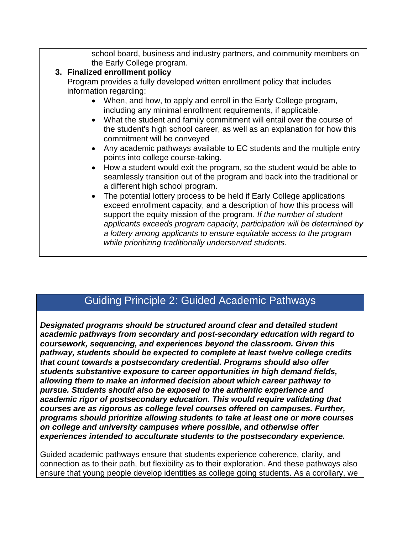school board, business and industry partners, and community members on the Early College program.

## **3. Finalized enrollment policy**

Program provides a fully developed written enrollment policy that includes information regarding:

- When, and how, to apply and enroll in the Early College program, including any minimal enrollment requirements, if applicable.
- What the student and family commitment will entail over the course of the student's high school career, as well as an explanation for how this commitment will be conveyed
- Any academic pathways available to EC students and the multiple entry points into college course-taking.
- How a student would exit the program, so the student would be able to seamlessly transition out of the program and back into the traditional or a different high school program.
- The potential lottery process to be held if Early College applications exceed enrollment capacity, and a description of how this process will support the equity mission of the program. *If the number of student applicants exceeds program capacity, participation will be determined by a lottery among applicants to ensure equitable access to the program while prioritizing traditionally underserved students.*

# Guiding Principle 2: Guided Academic Pathways

*Designated programs should be structured around clear and detailed student academic pathways from secondary and post-secondary education with regard to coursework, sequencing, and experiences beyond the classroom. Given this pathway, students should be expected to complete at least twelve college credits that count towards a postsecondary credential. Programs should also offer students substantive exposure to career opportunities in high demand fields, allowing them to make an informed decision about which career pathway to pursue. Students should also be exposed to the authentic experience and academic rigor of postsecondary education. This would require validating that courses are as rigorous as college level courses offered on campuses. Further, programs should prioritize allowing students to take at least one or more courses on college and university campuses where possible, and otherwise offer experiences intended to acculturate students to the postsecondary experience.*

Guided academic pathways ensure that students experience coherence, clarity, and connection as to their path, but flexibility as to their exploration. And these pathways also ensure that young people develop identities as college going students. As a corollary, we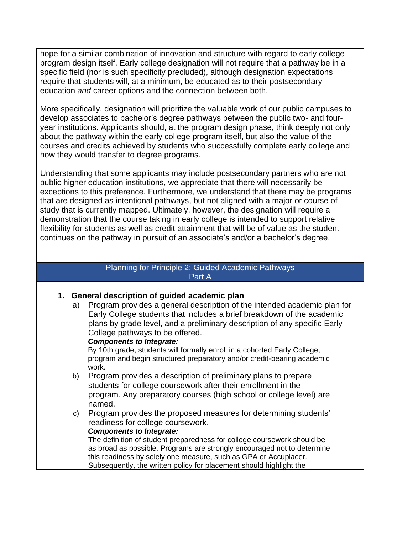hope for a similar combination of innovation and structure with regard to early college program design itself. Early college designation will not require that a pathway be in a specific field (nor is such specificity precluded), although designation expectations require that students will, at a minimum, be educated as to their postsecondary education *and* career options and the connection between both.

More specifically, designation will prioritize the valuable work of our public campuses to develop associates to bachelor's degree pathways between the public two- and fouryear institutions. Applicants should, at the program design phase, think deeply not only about the pathway within the early college program itself, but also the value of the courses and credits achieved by students who successfully complete early college and how they would transfer to degree programs.

Understanding that some applicants may include postsecondary partners who are not public higher education institutions, we appreciate that there will necessarily be exceptions to this preference. Furthermore, we understand that there may be programs that are designed as intentional pathways, but not aligned with a major or course of study that is currently mapped. Ultimately, however, the designation will require a demonstration that the course taking in early college is intended to support relative flexibility for students as well as credit attainment that will be of value as the student continues on the pathway in pursuit of an associate's and/or a bachelor's degree.

#### Planning for Principle 2: Guided Academic Pathways Part A

#### **1. General description of guided academic plan**

a) Program provides a general description of the intended academic plan for Early College students that includes a brief breakdown of the academic plans by grade level, and a preliminary description of any specific Early College pathways to be offered.

#### *Components to Integrate:*

By 10th grade, students will formally enroll in a cohorted Early College, program and begin structured preparatory and/or credit-bearing academic work.

- b) Program provides a description of preliminary plans to prepare students for college coursework after their enrollment in the program. Any preparatory courses (high school or college level) are named.
- c) Program provides the proposed measures for determining students' readiness for college coursework.

#### *Components to Integrate:*

The definition of student preparedness for college coursework should be as broad as possible. Programs are strongly encouraged not to determine this readiness by solely one measure, such as GPA or Accuplacer. Subsequently, the written policy for placement should highlight the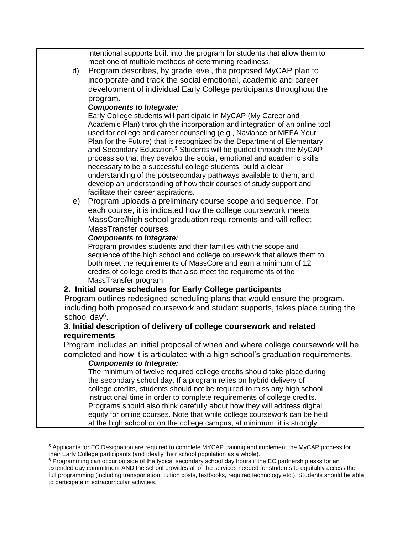intentional supports built into the program for students that allow them to meet one of multiple methods of determining readiness.

d) Program describes, by grade level, the proposed MyCAP plan to incorporate and track the social emotional, academic and career development of individual Early College participants throughout the program.

#### *Components to Integrate:*

Early College students will participate in MyCAP (My Career and Academic Plan) through the incorporation and integration of an online tool used for college and career counseling (e.g., Naviance or MEFA Your Plan for the Future) that is recognized by the Department of Elementary and Secondary Education.<sup>5</sup> Students will be guided through the MyCAP process so that they develop the social, emotional and academic skills necessary to be a successful college students, build a clear understanding of the postsecondary pathways available to them, and develop an understanding of how their courses of study support and facilitate their career aspirations.

e) Program uploads a preliminary course scope and sequence. For each course, it is indicated how the college coursework meets MassCore/high school graduation requirements and will reflect MassTransfer courses.

#### *Components to Integrate:*

Program provides students and their families with the scope and sequence of the high school and college coursework that allows them to both meet the requirements of MassCore and earn a minimum of 12 credits of college credits that also meet the requirements of the MassTransfer program.

#### **2. Initial course schedules for Early College participants**

Program outlines redesigned scheduling plans that would ensure the program, including both proposed coursework and student supports, takes place during the school day<sup>6</sup>.

#### **3. Initial description of delivery of college coursework and related requirements**

Program includes an initial proposal of when and where college coursework will be completed and how it is articulated with a high school's graduation requirements.

#### *Components to Integrate:*

The minimum of twelve required college credits should take place during the secondary school day. If a program relies on hybrid delivery of college credits, students should not be required to miss any high school instructional time in order to complete requirements of college credits. Programs should also think carefully about how they will address digital equity for online courses. Note that while college coursework can be held at the high school or on the college campus, at minimum, it is strongly

<sup>5</sup> Applicants for EC Designation are required to complete MYCAP training and implement the MyCAP process for their Early College participants (and ideally their school population as a whole).

<sup>&</sup>lt;sup>6</sup> Programming can occur outside of the typical secondary school day hours if the EC partnership asks for an extended day commitment AND the school provides all of the services needed for students to equitably access the full programming (including transportation, tuition costs, textbooks, required technology etc.). Students should be able to participate in extracurricular activities.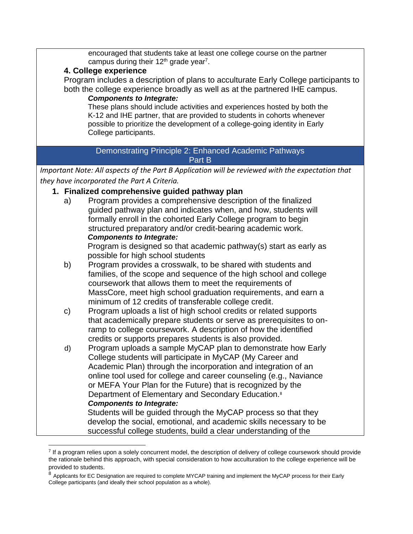encouraged that students take at least one college course on the partner campus during their  $12<sup>th</sup>$  grade year<sup>7</sup>.

#### **4. College experience**

Program includes a description of plans to acculturate Early College participants to both the college experience broadly as well as at the partnered IHE campus.

#### *Components to Integrate:*

These plans should include activities and experiences hosted by both the K-12 and IHE partner, that are provided to students in cohorts whenever possible to prioritize the development of a college-going identity in Early College participants.

#### Demonstrating Principle 2: Enhanced Academic Pathways Part B

*Important Note: All aspects of the Part B Application will be reviewed with the expectation that they have incorporated the Part A Criteria.* 

#### **1. Finalized comprehensive guided pathway plan**

a) Program provides a comprehensive description of the finalized guided pathway plan and indicates when, and how, students will formally enroll in the cohorted Early College program to begin structured preparatory and/or credit-bearing academic work. *Components to Integrate:*

Program is designed so that academic pathway(s) start as early as possible for high school students

- b) Program provides a crosswalk, to be shared with students and families, of the scope and sequence of the high school and college coursework that allows them to meet the requirements of MassCore, meet high school graduation requirements, and earn a minimum of 12 credits of transferable college credit.
- c) Program uploads a list of high school credits or related supports that academically prepare students or serve as prerequisites to onramp to college coursework. A description of how the identified credits or supports prepares students is also provided.
- d) Program uploads a sample MyCAP plan to demonstrate how Early College students will participate in MyCAP (My Career and Academic Plan) through the incorporation and integration of an online tool used for college and career counseling (e.g., Naviance or MEFA Your Plan for the Future) that is recognized by the Department of Elementary and Secondary Education.<sup>8</sup> *Components to Integrate:*  Students will be guided through the MyCAP process so that they

develop the social, emotional, and academic skills necessary to be successful college students, build a clear understanding of the

<sup>&</sup>lt;sup>7</sup> If a program relies upon a solely concurrent model, the description of delivery of college coursework should provide the rationale behind this approach, with special consideration to how acculturation to the college experience will be provided to students.

<sup>8</sup> Applicants for EC Designation are required to complete MYCAP training and implement the MyCAP process for their Early College participants (and ideally their school population as a whole).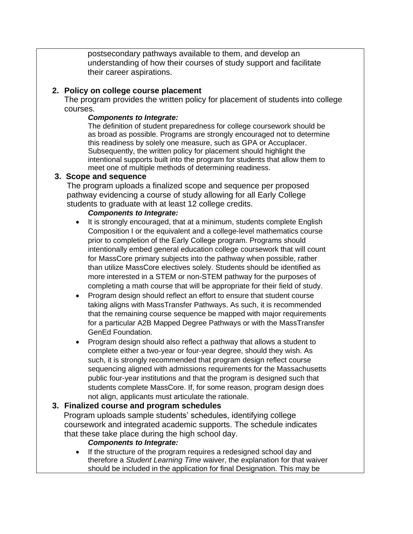postsecondary pathways available to them, and develop an understanding of how their courses of study support and facilitate their career aspirations.

#### **2. Policy on college course placement**

The program provides the written policy for placement of students into college courses.

#### *Components to Integrate:*

The definition of student preparedness for college coursework should be as broad as possible. Programs are strongly encouraged not to determine this readiness by solely one measure, such as GPA or Accuplacer. Subsequently, the written policy for placement should highlight the intentional supports built into the program for students that allow them to meet one of multiple methods of determining readiness.

#### **3. Scope and sequence**

The program uploads a finalized scope and sequence per proposed pathway evidencing a course of study allowing for all Early College students to graduate with at least 12 college credits.

#### *Components to Integrate:*

- It is strongly encouraged, that at a minimum, students complete English Composition I or the equivalent and a college-level mathematics course prior to completion of the Early College program. Programs should intentionally embed general education college coursework that will count for MassCore primary subjects into the pathway when possible, rather than utilize MassCore electives solely. Students should be identified as more interested in a STEM or non-STEM pathway for the purposes of completing a math course that will be appropriate for their field of study.
- Program design should reflect an effort to ensure that student course taking aligns with MassTransfer Pathways. As such, it is recommended that the remaining course sequence be mapped with major requirements for a particular A2B Mapped Degree Pathways or with the MassTransfer GenEd Foundation.
- Program design should also reflect a pathway that allows a student to complete either a two-year or four-year degree, should they wish. As such, it is strongly recommended that program design reflect course sequencing aligned with admissions requirements for the Massachusetts public four-year institutions and that the program is designed such that students complete MassCore. If, for some reason, program design does not align, applicants must articulate the rationale.

#### **3. Finalized course and program schedules**

Program uploads sample students' schedules, identifying college coursework and integrated academic supports. The schedule indicates that these take place during the high school day.

#### *Components to Integrate:*

• If the structure of the program requires a redesigned school day and therefore a *Student Learning Time* waiver, the explanation for that waiver should be included in the application for final Designation. This may be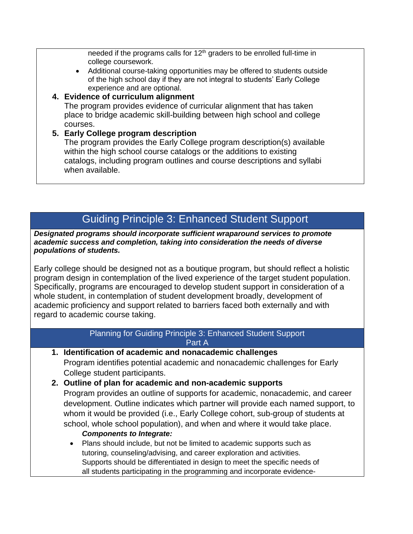needed if the programs calls for  $12<sup>th</sup>$  graders to be enrolled full-time in college coursework.

- Additional course-taking opportunities may be offered to students outside of the high school day if they are not integral to students' Early College experience and are optional.
- **4. Evidence of curriculum alignment** The program provides evidence of curricular alignment that has taken place to bridge academic skill-building between high school and college courses.
- **5. Early College program description** The program provides the Early College program description(s) available within the high school course catalogs or the additions to existing catalogs, including program outlines and course descriptions and syllabi when available.

# Guiding Principle 3: Enhanced Student Support

*Designated programs should incorporate sufficient wraparound services to promote academic success and completion, taking into consideration the needs of diverse populations of students.*

Early college should be designed not as a boutique program, but should reflect a holistic program design in contemplation of the lived experience of the target student population. Specifically, programs are encouraged to develop student support in consideration of a whole student, in contemplation of student development broadly, development of academic proficiency and support related to barriers faced both externally and with regard to academic course taking.

> Planning for Guiding Principle 3: Enhanced Student Support Part A

- **1. Identification of academic and nonacademic challenges** Program identifies potential academic and nonacademic challenges for Early College student participants.
- **2. Outline of plan for academic and non-academic supports** Program provides an outline of supports for academic, nonacademic, and career development. Outline indicates which partner will provide each named support, to whom it would be provided (i.e., Early College cohort, sub-group of students at school, whole school population), and when and where it would take place. *Components to Integrate:*
	- Plans should include, but not be limited to academic supports such as tutoring, counseling/advising, and career exploration and activities. Supports should be differentiated in design to meet the specific needs of all students participating in the programming and incorporate evidence-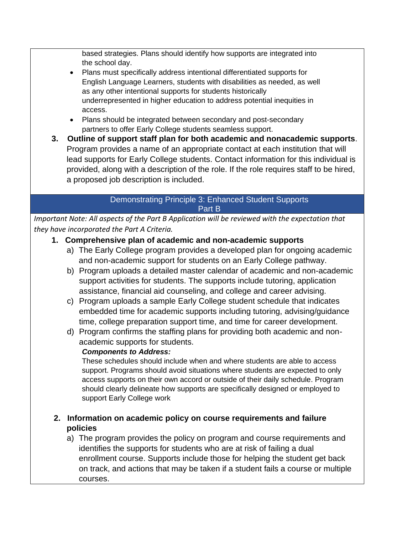based strategies. Plans should identify how supports are integrated into the school day.

- Plans must specifically address intentional differentiated supports for English Language Learners, students with disabilities as needed, as well as any other intentional supports for students historically underrepresented in higher education to address potential inequities in access.
- Plans should be integrated between secondary and post-secondary partners to offer Early College students seamless support.
- **3. Outline of support staff plan for both academic and nonacademic supports**. Program provides a name of an appropriate contact at each institution that will lead supports for Early College students. Contact information for this individual is provided, along with a description of the role. If the role requires staff to be hired, a proposed job description is included.

#### Demonstrating Principle 3: Enhanced Student Supports Part B

*Important Note: All aspects of the Part B Application will be reviewed with the expectation that they have incorporated the Part A Criteria.* 

## **1. Comprehensive plan of academic and non-academic supports**

- a) The Early College program provides a developed plan for ongoing academic and non-academic support for students on an Early College pathway.
- b) Program uploads a detailed master calendar of academic and non-academic support activities for students. The supports include tutoring, application assistance, financial aid counseling, and college and career advising.
- c) Program uploads a sample Early College student schedule that indicates embedded time for academic supports including tutoring, advising/guidance time, college preparation support time, and time for career development.
- d) Program confirms the staffing plans for providing both academic and nonacademic supports for students.

## *Components to Address:*

These schedules should include when and where students are able to access support. Programs should avoid situations where students are expected to only access supports on their own accord or outside of their daily schedule. Program should clearly delineate how supports are specifically designed or employed to support Early College work

## **2. Information on academic policy on course requirements and failure policies**

a) The program provides the policy on program and course requirements and identifies the supports for students who are at risk of failing a dual enrollment course. Supports include those for helping the student get back on track, and actions that may be taken if a student fails a course or multiple courses.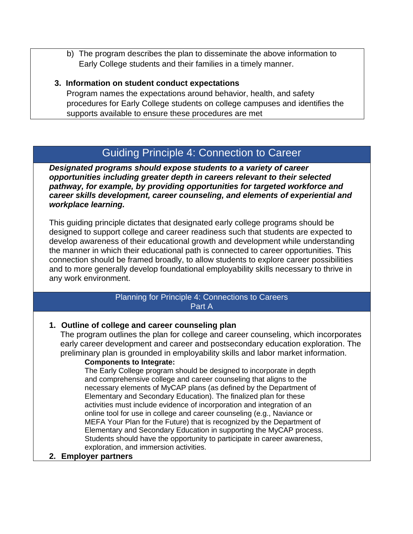b) The program describes the plan to disseminate the above information to Early College students and their families in a timely manner.

#### **3. Information on student conduct expectations**

Program names the expectations around behavior, health, and safety procedures for Early College students on college campuses and identifies the supports available to ensure these procedures are met

# Guiding Principle 4: Connection to Career

*Designated programs should expose students to a variety of career opportunities including greater depth in careers relevant to their selected pathway, for example, by providing opportunities for targeted workforce and career skills development, career counseling, and elements of experiential and workplace learning.*

This guiding principle dictates that designated early college programs should be designed to support college and career readiness such that students are expected to develop awareness of their educational growth and development while understanding the manner in which their educational path is connected to career opportunities. This connection should be framed broadly, to allow students to explore career possibilities and to more generally develop foundational employability skills necessary to thrive in any work environment.

> Planning for Principle 4: Connections to Careers Part A

#### **1. Outline of college and career counseling plan**

The program outlines the plan for college and career counseling, which incorporates early career development and career and postsecondary education exploration. The preliminary plan is grounded in employability skills and labor market information.

#### **Components to Integrate:**

The Early College program should be designed to incorporate in depth and comprehensive college and career counseling that aligns to the necessary elements of MyCAP plans (as defined by the Department of Elementary and Secondary Education). The finalized plan for these activities must include evidence of incorporation and integration of an online tool for use in college and career counseling (e.g., Naviance or MEFA Your Plan for the Future) that is recognized by the Department of Elementary and Secondary Education in supporting the MyCAP process. Students should have the opportunity to participate in career awareness, exploration, and immersion activities.

#### **2. Employer partners**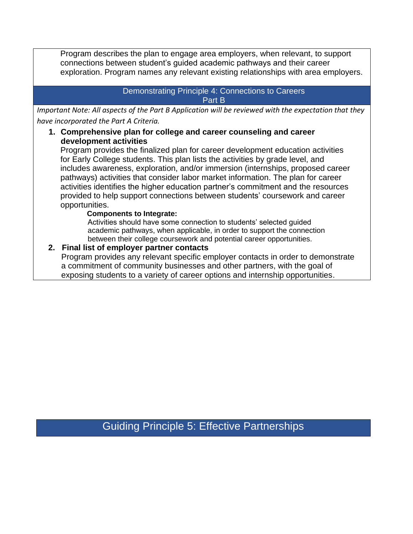Program describes the plan to engage area employers, when relevant, to support connections between student's guided academic pathways and their career exploration. Program names any relevant existing relationships with area employers.

#### Demonstrating Principle 4: Connections to Careers Part B

*Important Note: All aspects of the Part B Application will be reviewed with the expectation that they have incorporated the Part A Criteria.* 

#### **1. Comprehensive plan for college and career counseling and career development activities**

Program provides the finalized plan for career development education activities for Early College students. This plan lists the activities by grade level, and includes awareness, exploration, and/or immersion (internships, proposed career pathways) activities that consider labor market information. The plan for career activities identifies the higher education partner's commitment and the resources provided to help support connections between students' coursework and career opportunities.

#### **Components to Integrate:**

Activities should have some connection to students' selected guided academic pathways, when applicable, in order to support the connection between their college coursework and potential career opportunities.

#### **2. Final list of employer partner contacts**

Program provides any relevant specific employer contacts in order to demonstrate a commitment of community businesses and other partners, with the goal of exposing students to a variety of career options and internship opportunities.

Guiding Principle 5: Effective Partnerships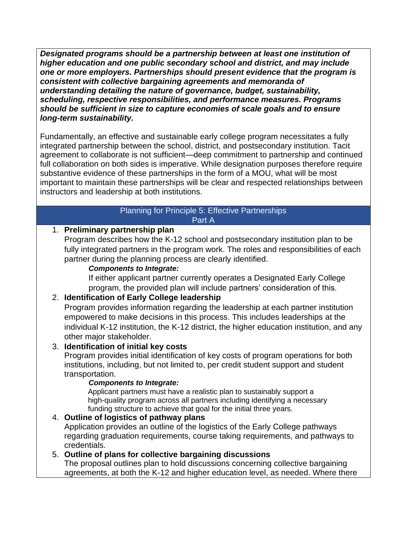*Designated programs should be a partnership between at least one institution of higher education and one public secondary school and district, and may include one or more employers. Partnerships should present evidence that the program is consistent with collective bargaining agreements and memoranda of understanding detailing the nature of governance, budget, sustainability, scheduling, respective responsibilities, and performance measures. Programs should be sufficient in size to capture economies of scale goals and to ensure long-term sustainability.*

Fundamentally, an effective and sustainable early college program necessitates a fully integrated partnership between the school, district, and postsecondary institution. Tacit agreement to collaborate is not sufficient—deep commitment to partnership and continued full collaboration on both sides is imperative. While designation purposes therefore require substantive evidence of these partnerships in the form of a MOU, what will be most important to maintain these partnerships will be clear and respected relationships between instructors and leadership at both institutions.

#### Planning for Principle 5: Effective Partnerships Part A

## 1. **Preliminary partnership plan**

Program describes how the K-12 school and postsecondary institution plan to be fully integrated partners in the program work. The roles and responsibilities of each partner during the planning process are clearly identified.

### *Components to Integrate:*

If either applicant partner currently operates a Designated Early College program, the provided plan will include partners' consideration of this.

## 2. **Identification of Early College leadership**

Program provides information regarding the leadership at each partner institution empowered to make decisions in this process. This includes leaderships at the individual K-12 institution, the K-12 district, the higher education institution, and any other major stakeholder.

## 3. **Identification of initial key costs**

Program provides initial identification of key costs of program operations for both institutions, including, but not limited to, per credit student support and student transportation.

#### *Components to Integrate:*

Applicant partners must have a realistic plan to sustainably support a high-quality program across all partners including identifying a necessary funding structure to achieve that goal for the initial three years.

### 4. **Outline of logistics of pathway plans** Application provides an outline of the logistics of the Early College pathways regarding graduation requirements, course taking requirements, and pathways to credentials.

## 5. **Outline of plans for collective bargaining discussions**

The proposal outlines plan to hold discussions concerning collective bargaining agreements, at both the K-12 and higher education level, as needed. Where there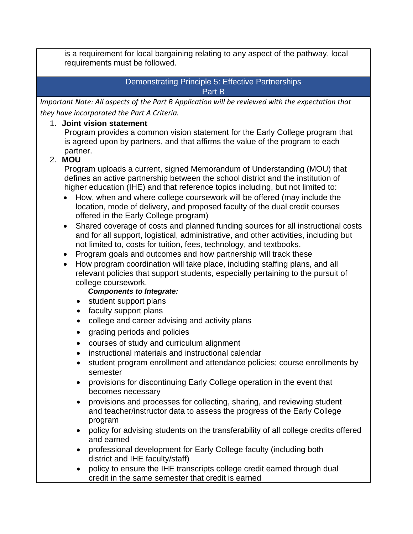is a requirement for local bargaining relating to any aspect of the pathway, local requirements must be followed.

#### Demonstrating Principle 5: Effective Partnerships Part B

*Important Note: All aspects of the Part B Application will be reviewed with the expectation that they have incorporated the Part A Criteria.* 

### 1. **Joint vision statement**

Program provides a common vision statement for the Early College program that is agreed upon by partners, and that affirms the value of the program to each partner.

## 2. **MOU**

Program uploads a current, signed Memorandum of Understanding (MOU) that defines an active partnership between the school district and the institution of higher education (IHE) and that reference topics including, but not limited to:

- How, when and where college coursework will be offered (may include the location, mode of delivery, and proposed faculty of the dual credit courses offered in the Early College program)
- Shared coverage of costs and planned funding sources for all instructional costs and for all support, logistical, administrative, and other activities, including but not limited to, costs for tuition, fees, technology, and textbooks.
- Program goals and outcomes and how partnership will track these
- How program coordination will take place, including staffing plans, and all relevant policies that support students, especially pertaining to the pursuit of college coursework.

#### *Components to Integrate:*

- student support plans
- faculty support plans
- college and career advising and activity plans
- grading periods and policies
- courses of study and curriculum alignment
- instructional materials and instructional calendar
- student program enrollment and attendance policies; course enrollments by semester
- provisions for discontinuing Early College operation in the event that becomes necessary
- provisions and processes for collecting, sharing, and reviewing student and teacher/instructor data to assess the progress of the Early College program
- policy for advising students on the transferability of all college credits offered and earned
- professional development for Early College faculty (including both district and IHE faculty/staff)
- policy to ensure the IHE transcripts college credit earned through dual credit in the same semester that credit is earned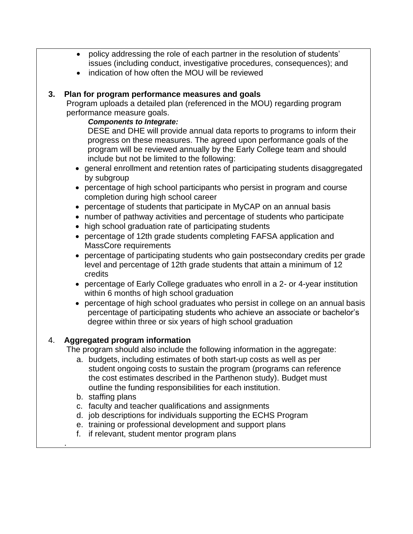- policy addressing the role of each partner in the resolution of students' issues (including conduct, investigative procedures, consequences); and
- indication of how often the MOU will be reviewed

#### **3. Plan for program performance measures and goals**

Program uploads a detailed plan (referenced in the MOU) regarding program performance measure goals.

#### *Components to Integrate:*

DESE and DHE will provide annual data reports to programs to inform their progress on these measures. The agreed upon performance goals of the program will be reviewed annually by the Early College team and should include but not be limited to the following:

- general enrollment and retention rates of participating students disaggregated by subgroup
- percentage of high school participants who persist in program and course completion during high school career
- percentage of students that participate in MyCAP on an annual basis
- number of pathway activities and percentage of students who participate
- high school graduation rate of participating students
- percentage of 12th grade students completing FAFSA application and MassCore requirements
- percentage of participating students who gain postsecondary credits per grade level and percentage of 12th grade students that attain a minimum of 12 credits
- percentage of Early College graduates who enroll in a 2- or 4-year institution within 6 months of high school graduation
- percentage of high school graduates who persist in college on an annual basis percentage of participating students who achieve an associate or bachelor's degree within three or six years of high school graduation

#### 4. **Aggregated program information**

The program should also include the following information in the aggregate:

- a. budgets, including estimates of both start-up costs as well as per student ongoing costs to sustain the program (programs can reference the cost estimates described in the Parthenon study). Budget must outline the funding responsibilities for each institution.
- b. staffing plans

.

- c. faculty and teacher qualifications and assignments
- d. job descriptions for individuals supporting the ECHS Program
- e. training or professional development and support plans
- f. if relevant, student mentor program plans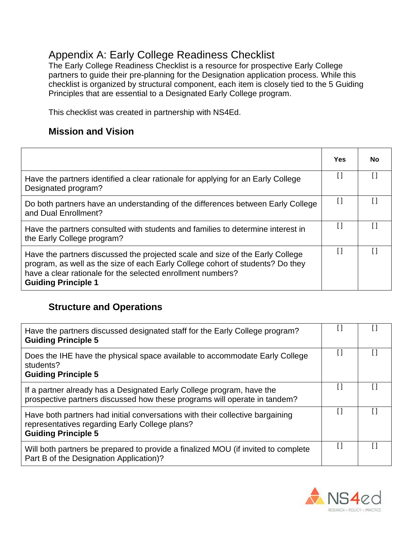# <span id="page-23-0"></span>Appendix A: Early College Readiness Checklist

The Early College Readiness Checklist is a resource for prospective Early College partners to guide their pre-planning for the Designation application process. While this checklist is organized by structural component, each item is closely tied to the 5 Guiding Principles that are essential to a Designated Early College program.

This checklist was created in partnership with NS4Ed.

# **Mission and Vision**

|                                                                                                                                                                                                                                                              | Yes | No |
|--------------------------------------------------------------------------------------------------------------------------------------------------------------------------------------------------------------------------------------------------------------|-----|----|
| Have the partners identified a clear rationale for applying for an Early College<br>Designated program?                                                                                                                                                      | [ ] |    |
| Do both partners have an understanding of the differences between Early College<br>and Dual Enrollment?                                                                                                                                                      | I l |    |
| Have the partners consulted with students and families to determine interest in<br>the Early College program?                                                                                                                                                |     |    |
| Have the partners discussed the projected scale and size of the Early College<br>program, as well as the size of each Early College cohort of students? Do they<br>have a clear rationale for the selected enrollment numbers?<br><b>Guiding Principle 1</b> | l l |    |

# **Structure and Operations**

| Have the partners discussed designated staff for the Early College program?<br><b>Guiding Principle 5</b>                                                     |  |
|---------------------------------------------------------------------------------------------------------------------------------------------------------------|--|
| Does the IHE have the physical space available to accommodate Early College<br>students?<br><b>Guiding Principle 5</b>                                        |  |
| If a partner already has a Designated Early College program, have the<br>prospective partners discussed how these programs will operate in tandem?            |  |
| Have both partners had initial conversations with their collective bargaining<br>representatives regarding Early College plans?<br><b>Guiding Principle 5</b> |  |
| Will both partners be prepared to provide a finalized MOU (if invited to complete<br>Part B of the Designation Application)?                                  |  |

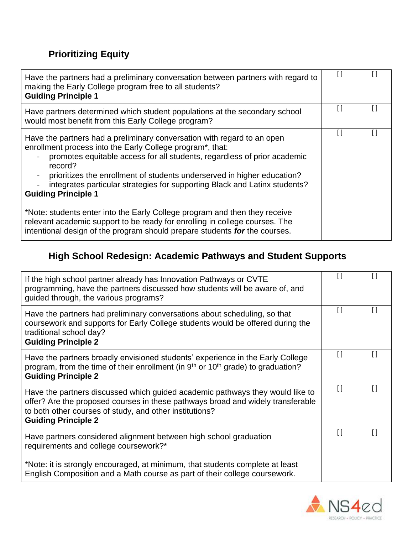# **Prioritizing Equity**

| Have the partners had a preliminary conversation between partners with regard to<br>making the Early College program free to all students?<br><b>Guiding Principle 1</b>                                                                                                                                                                                                                                           | $\mathfrak l$ |  |
|--------------------------------------------------------------------------------------------------------------------------------------------------------------------------------------------------------------------------------------------------------------------------------------------------------------------------------------------------------------------------------------------------------------------|---------------|--|
| Have partners determined which student populations at the secondary school<br>would most benefit from this Early College program?                                                                                                                                                                                                                                                                                  | П             |  |
| Have the partners had a preliminary conversation with regard to an open<br>enrollment process into the Early College program*, that:<br>promotes equitable access for all students, regardless of prior academic<br>record?<br>prioritizes the enrollment of students underserved in higher education?<br>integrates particular strategies for supporting Black and Latinx students?<br><b>Guiding Principle 1</b> |               |  |
| *Note: students enter into the Early College program and then they receive<br>relevant academic support to be ready for enrolling in college courses. The<br>intentional design of the program should prepare students for the courses.                                                                                                                                                                            |               |  |

# **High School Redesign: Academic Pathways and Student Supports**

| If the high school partner already has Innovation Pathways or CVTE<br>programming, have the partners discussed how students will be aware of, and<br>guided through, the various programs?                                                                | $\Box$             |        |
|-----------------------------------------------------------------------------------------------------------------------------------------------------------------------------------------------------------------------------------------------------------|--------------------|--------|
| Have the partners had preliminary conversations about scheduling, so that<br>coursework and supports for Early College students would be offered during the<br>traditional school day?<br><b>Guiding Principle 2</b>                                      | $\lceil$           | $\Box$ |
| Have the partners broadly envisioned students' experience in the Early College<br>program, from the time of their enrollment (in 9 <sup>th</sup> or 10 <sup>th</sup> grade) to graduation?<br><b>Guiding Principle 2</b>                                  | $\Box$             |        |
| Have the partners discussed which guided academic pathways they would like to<br>offer? Are the proposed courses in these pathways broad and widely transferable<br>to both other courses of study, and other institutions?<br><b>Guiding Principle 2</b> | $\left[ \ \right]$ | H      |
| Have partners considered alignment between high school graduation<br>requirements and college coursework?*                                                                                                                                                | $\Box$             |        |
| *Note: it is strongly encouraged, at minimum, that students complete at least<br>English Composition and a Math course as part of their college coursework.                                                                                               |                    |        |

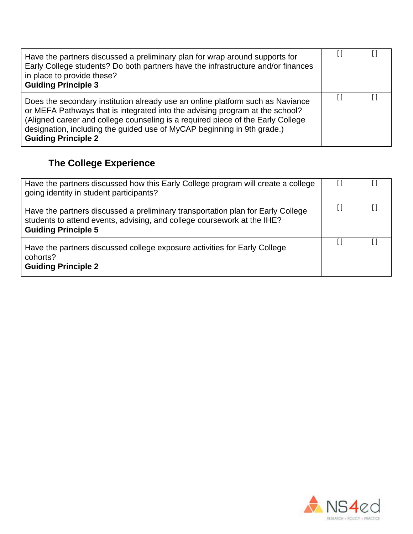| Have the partners discussed a preliminary plan for wrap around supports for<br>Early College students? Do both partners have the infrastructure and/or finances<br>in place to provide these?<br><b>Guiding Principle 3</b>                                                                                                                                |  |  |
|------------------------------------------------------------------------------------------------------------------------------------------------------------------------------------------------------------------------------------------------------------------------------------------------------------------------------------------------------------|--|--|
| Does the secondary institution already use an online platform such as Naviance<br>or MEFA Pathways that is integrated into the advising program at the school?<br>(Aligned career and college counseling is a required piece of the Early College<br>designation, including the guided use of MyCAP beginning in 9th grade.)<br><b>Guiding Principle 2</b> |  |  |

# **The College Experience**

| Have the partners discussed how this Early College program will create a college<br>going identity in student participants?                                                              |  |
|------------------------------------------------------------------------------------------------------------------------------------------------------------------------------------------|--|
| Have the partners discussed a preliminary transportation plan for Early College<br>students to attend events, advising, and college coursework at the IHE?<br><b>Guiding Principle 5</b> |  |
| Have the partners discussed college exposure activities for Early College<br>cohorts?<br><b>Guiding Principle 2</b>                                                                      |  |

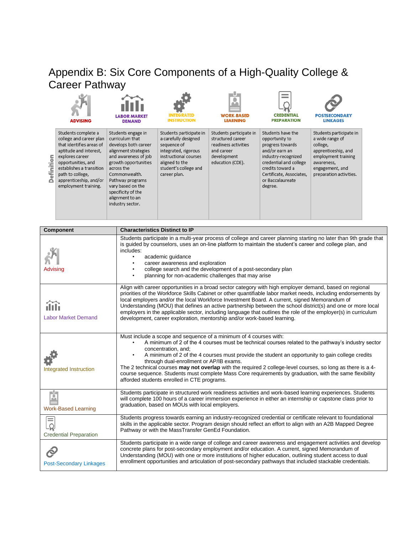#### <span id="page-26-0"></span>Appendix B: Six Core Components of a High-Quality College & Career Pathway í.

|                                   | ADVISING                                                                                                                                                                                                                                                                                                          | <b>LABOR MARKET</b><br><b>DEMAND</b>                                                                                                                                                                                                                                       | <b>INSTRUCTION</b>                                                                                                                                                         | 0<br><b>WORK-BASED</b><br><b>LEARNING</b>                                                                                                                                                                                                                                                     | <b><i>CREDENTIAL</i></b><br><b>PREPARATION</b>                                                                                                                                                            | <b>POSTSECONDARY</b><br><b>LINKAGES</b>                                                                                                                                                                                                                                                                                                                                                                                                                                                                                                                                                                                                                                                     |  |
|-----------------------------------|-------------------------------------------------------------------------------------------------------------------------------------------------------------------------------------------------------------------------------------------------------------------------------------------------------------------|----------------------------------------------------------------------------------------------------------------------------------------------------------------------------------------------------------------------------------------------------------------------------|----------------------------------------------------------------------------------------------------------------------------------------------------------------------------|-----------------------------------------------------------------------------------------------------------------------------------------------------------------------------------------------------------------------------------------------------------------------------------------------|-----------------------------------------------------------------------------------------------------------------------------------------------------------------------------------------------------------|---------------------------------------------------------------------------------------------------------------------------------------------------------------------------------------------------------------------------------------------------------------------------------------------------------------------------------------------------------------------------------------------------------------------------------------------------------------------------------------------------------------------------------------------------------------------------------------------------------------------------------------------------------------------------------------------|--|
| Definition                        | Students complete a<br>college and career plan<br>that identifies areas of<br>aptitude and interest,<br>explores career<br>opportunities, and<br>establishes a transition<br>path to college,<br>apprenticeship, and/or<br>employment training.                                                                   | Students engage in<br>curriculum that<br>develops both career<br>alignment strategies<br>and awareness of job<br>growth opportunities<br>across the<br>Commonwealth.<br>Pathway programs<br>vary based on the<br>specificity of the<br>alignment to an<br>industry sector. | Students participate in<br>a carefully designed<br>sequence of<br>integrated, rigorous<br>instructional courses<br>aligned to the<br>student's college and<br>career plan. | Students participate in<br>structured career<br>readiness activities<br>and career<br>development<br>education (CDE).                                                                                                                                                                         | Students have the<br>opportunity to<br>progress towards<br>and/or earn an<br>industry-recognized<br>credential and college<br>credits toward a<br>Certificate, Associates,<br>or Baccalaureate<br>degree. | Students participate in<br>a wide range of<br>college,<br>apprenticeship, and<br>employment training<br>awareness,<br>engagement, and<br>preparation activities.                                                                                                                                                                                                                                                                                                                                                                                                                                                                                                                            |  |
|                                   | Component                                                                                                                                                                                                                                                                                                         | <b>Characteristics Distinct to IP</b>                                                                                                                                                                                                                                      |                                                                                                                                                                            |                                                                                                                                                                                                                                                                                               |                                                                                                                                                                                                           |                                                                                                                                                                                                                                                                                                                                                                                                                                                                                                                                                                                                                                                                                             |  |
| Advising<br>Labor Market Demand   |                                                                                                                                                                                                                                                                                                                   | includes:                                                                                                                                                                                                                                                                  | academic guidance<br>career awareness and exploration                                                                                                                      | college search and the development of a post-secondary plan<br>planning for non-academic challenges that may arise<br>local employers and/or the local Workforce Investment Board. A current, signed Memorandum of<br>development, career exploration, mentorship and/or work-based learning. |                                                                                                                                                                                                           | Students participate in a multi-year process of college and career planning starting no later than 9th grade that<br>is guided by counselors, uses an on-line platform to maintain the student's career and college plan, and<br>Align with career opportunities in a broad sector category with high employer demand, based on regional<br>priorities of the Workforce Skills Cabinet or other quantifiable labor market needs, including endorsements by<br>Understanding (MOU) that defines an active partnership between the school district(s) and one or more local<br>employers in the applicable sector, including language that outlines the role of the employer(s) in curriculum |  |
| <b>Integrated Instruction</b>     |                                                                                                                                                                                                                                                                                                                   | $\bullet$                                                                                                                                                                                                                                                                  | concentration, and;<br>through dual-enrollment or AP/IB exams.<br>afforded students enrolled in CTE programs.                                                              | Must include a scope and sequence of a minimum of 4 courses with:                                                                                                                                                                                                                             |                                                                                                                                                                                                           | A minimum of 2 of the 4 courses must be technical courses related to the pathway's industry sector<br>A minimum of 2 of the 4 courses must provide the student an opportunity to gain college credits<br>The 2 technical courses may not overlap with the required 2 college-level courses, so long as there is a 4-<br>course sequence. Students must complete Mass Core requirements by graduation, with the same flexibility                                                                                                                                                                                                                                                             |  |
| г'n<br><b>Work-Based Learning</b> |                                                                                                                                                                                                                                                                                                                   |                                                                                                                                                                                                                                                                            | graduation, based on MOUs with local employers.                                                                                                                            |                                                                                                                                                                                                                                                                                               |                                                                                                                                                                                                           | Students participate in structured work readiness activities and work-based learning experiences. Students<br>will complete 100 hours of a career immersion experience in either an internship or capstone class prior to                                                                                                                                                                                                                                                                                                                                                                                                                                                                   |  |
|                                   | Students progress towards earning an industry-recognized credential or certificate relevant to foundational<br>skills in the applicable sector. Program design should reflect an effort to align with an A2B Mapped Degree<br>Pathway or with the MassTransfer GenEd Foundation.<br><b>Credential Preparation</b> |                                                                                                                                                                                                                                                                            |                                                                                                                                                                            |                                                                                                                                                                                                                                                                                               |                                                                                                                                                                                                           |                                                                                                                                                                                                                                                                                                                                                                                                                                                                                                                                                                                                                                                                                             |  |
| <b>Post-Secondary Linkages</b>    |                                                                                                                                                                                                                                                                                                                   |                                                                                                                                                                                                                                                                            |                                                                                                                                                                            | concrete plans for post-secondary employment and/or education. A current, signed Memorandum of                                                                                                                                                                                                |                                                                                                                                                                                                           | Students participate in a wide range of college and career awareness and engagement activities and develop<br>Understanding (MOU) with one or more institutions of higher education, outlining student access to dual<br>enrollment opportunities and articulation of post-secondary pathways that included stackable credentials.                                                                                                                                                                                                                                                                                                                                                          |  |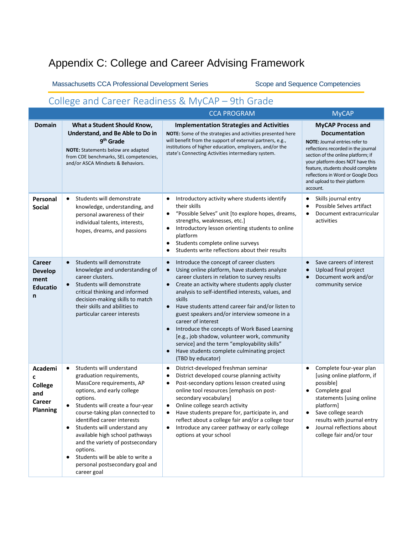# <span id="page-27-0"></span>Appendix C: College and Career Advising Framework

Massachusetts CCA Professional Development Series Scope and Sequence Competencies

# <span id="page-27-1"></span>College and Career Readiness & MyCAP – 9th Grade

|                                                                 |                                                                                                                                                                                                                                                                                                                                                                                                                                                                          | <b>CCA PROGRAM</b>                                                                                                                                                                                                                                                                                                                                                                                                                                                                                                                                                                                                                                                                        | <b>MyCAP</b>                                                                                                                                                                                                                                                                                                               |
|-----------------------------------------------------------------|--------------------------------------------------------------------------------------------------------------------------------------------------------------------------------------------------------------------------------------------------------------------------------------------------------------------------------------------------------------------------------------------------------------------------------------------------------------------------|-------------------------------------------------------------------------------------------------------------------------------------------------------------------------------------------------------------------------------------------------------------------------------------------------------------------------------------------------------------------------------------------------------------------------------------------------------------------------------------------------------------------------------------------------------------------------------------------------------------------------------------------------------------------------------------------|----------------------------------------------------------------------------------------------------------------------------------------------------------------------------------------------------------------------------------------------------------------------------------------------------------------------------|
| <b>Domain</b>                                                   | What a Student Should Know,<br>Understand, and Be Able to Do in<br>9 <sup>th</sup> Grade<br><b>NOTE:</b> Statements below are adapted<br>from CDE benchmarks, SEL competencies,<br>and/or ASCA Mindsets & Behaviors.                                                                                                                                                                                                                                                     | <b>Implementation Strategies and Activities</b><br><b>NOTE:</b> Some of the strategies and activities presented here<br>will benefit from the support of external partners, e.g.,<br>institutions of higher education, employers, and/or the<br>state's Connecting Activities intermediary system.                                                                                                                                                                                                                                                                                                                                                                                        | <b>MyCAP Process and</b><br><b>Documentation</b><br>NOTE: Journal entries refer to<br>reflections recorded in the journal<br>section of the online platform; if<br>your platform does NOT have this<br>feature, students should complete<br>reflections in Word or Google Docs<br>and upload to their platform<br>account. |
| Personal<br><b>Social</b>                                       | Students will demonstrate<br>$\bullet$<br>knowledge, understanding, and<br>personal awareness of their<br>individual talents, interests,<br>hopes, dreams, and passions                                                                                                                                                                                                                                                                                                  | Introductory activity where students identify<br>$\bullet$<br>their skills<br>"Possible Selves" unit [to explore hopes, dreams,<br>$\bullet$<br>strengths, weaknesses, etc.]<br>Introductory lesson orienting students to online<br>$\bullet$<br>platform<br>Students complete online surveys<br>$\bullet$<br>Students write reflections about their results<br>$\bullet$                                                                                                                                                                                                                                                                                                                 | Skills journal entry<br>Possible Selves artifact<br>Document extracurricular<br>٠<br>activities                                                                                                                                                                                                                            |
| <b>Career</b><br><b>Develop</b><br>ment<br><b>Educatio</b><br>n | Students will demonstrate<br>$\bullet$<br>knowledge and understanding of<br>career clusters.<br>Students will demonstrate<br>$\bullet$<br>critical thinking and informed<br>decision-making skills to match<br>their skills and abilities to<br>particular career interests                                                                                                                                                                                              | Introduce the concept of career clusters<br>$\bullet$<br>Using online platform, have students analyze<br>$\bullet$<br>career clusters in relation to survey results<br>Create an activity where students apply cluster<br>$\bullet$<br>analysis to self-identified interests, values, and<br>skills<br>Have students attend career fair and/or listen to<br>$\bullet$<br>guest speakers and/or interview someone in a<br>career of interest<br>Introduce the concepts of Work Based Learning<br>$\bullet$<br>[e.g., job shadow, volunteer work, community<br>service] and the term "employability skills"<br>Have students complete culminating project<br>$\bullet$<br>(TBD by educator) | Save careers of interest<br>Upload final project<br>$\bullet$<br>Document work and/or<br>$\bullet$<br>community service                                                                                                                                                                                                    |
| Academi<br>c<br><b>College</b><br>and<br>Career<br>Planning     | Students will understand<br>$\bullet$<br>graduation requirements,<br>MassCore requirements, AP<br>options, and early college<br>options.<br>Students will create a four-year<br>course-taking plan connected to<br>identified career interests<br>Students will understand any<br>٠<br>available high school pathways<br>and the variety of postsecondary<br>options.<br>Students will be able to write a<br>$\bullet$<br>personal postsecondary goal and<br>career goal | District-developed freshman seminar<br>$\bullet$<br>District developed course planning activity<br>٠<br>Post-secondary options lesson created using<br>٠<br>online tool resources [emphasis on post-<br>secondary vocabulary]<br>Online college search activity<br>$\bullet$<br>Have students prepare for, participate in, and<br>reflect about a college fair and/or a college tour<br>Introduce any career pathway or early college<br>$\bullet$<br>options at your school                                                                                                                                                                                                              | Complete four-year plan<br>$\bullet$<br>[using online platform, if<br>possible]<br>Complete goal<br>$\bullet$<br>statements [using online<br>platform]<br>Save college search<br>results with journal entry<br>Journal reflections about<br>college fair and/or tour                                                       |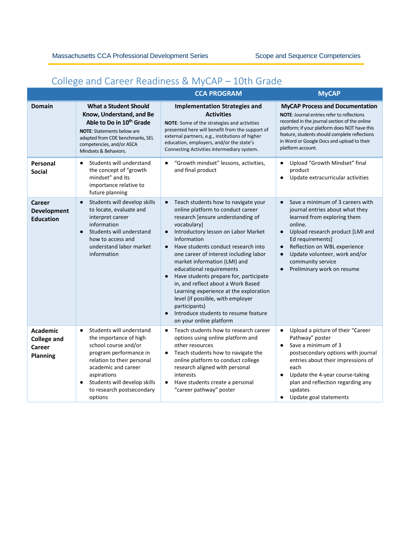# <span id="page-28-0"></span>College and Career Readiness & MyCAP – 10th Grade

|                                                             |                                                                                                                                                                                                                                                                            | <b>CCA PROGRAM</b>                                                                                                                                                                                                                                                                                                                                                                                                                                                                                                                                                                                                        | <b>MyCAP</b>                                                                                                                                                                                                                                                                                                                     |
|-------------------------------------------------------------|----------------------------------------------------------------------------------------------------------------------------------------------------------------------------------------------------------------------------------------------------------------------------|---------------------------------------------------------------------------------------------------------------------------------------------------------------------------------------------------------------------------------------------------------------------------------------------------------------------------------------------------------------------------------------------------------------------------------------------------------------------------------------------------------------------------------------------------------------------------------------------------------------------------|----------------------------------------------------------------------------------------------------------------------------------------------------------------------------------------------------------------------------------------------------------------------------------------------------------------------------------|
| <b>Domain</b>                                               | <b>What a Student Should</b><br>Know, Understand, and Be<br>Able to Do in 10 <sup>th</sup> Grade<br><b>NOTE:</b> Statements below are<br>adapted from CDE benchmarks, SEL<br>competencies, and/or ASCA<br>Mindsets & Behaviors.                                            | <b>Implementation Strategies and</b><br><b>Activities</b><br>NOTE: Some of the strategies and activities<br>presented here will benefit from the support of<br>external partners, e.g., institutions of higher<br>education, employers, and/or the state's<br>Connecting Activities intermediary system.                                                                                                                                                                                                                                                                                                                  | <b>MyCAP Process and Documentation</b><br><b>NOTE:</b> Journal entries refer to reflections<br>recorded in the journal section of the online<br>platform; if your platform does NOT have this<br>feature, students should complete reflections<br>in Word or Google Docs and upload to their<br>platform account.                |
| Personal<br><b>Social</b>                                   | Students will understand<br>$\bullet$<br>the concept of "growth<br>mindset" and its<br>importance relative to<br>future planning                                                                                                                                           | "Growth mindset" lessons, activities,<br>$\bullet$<br>and final product                                                                                                                                                                                                                                                                                                                                                                                                                                                                                                                                                   | Upload "Growth Mindset" final<br>$\bullet$<br>product<br>Update extracurricular activities<br>$\bullet$                                                                                                                                                                                                                          |
| Career<br><b>Development</b><br><b>Education</b>            | Students will develop skills<br>$\bullet$<br>to locate, evaluate and<br>interpret career<br>information<br>Students will understand<br>$\bullet$<br>how to access and<br>understand labor market<br>information                                                            | Teach students how to navigate your<br>$\bullet$<br>online platform to conduct career<br>research [ensure understanding of<br>vocabulary]<br>Introductory lesson on Labor Market<br>$\bullet$<br>Information<br>Have students conduct research into<br>$\bullet$<br>one career of interest including labor<br>market information (LMI) and<br>educational requirements<br>Have students prepare for, participate<br>in, and reflect about a Work Based<br>Learning experience at the exploration<br>level (if possible, with employer<br>participants)<br>Introduce students to resume feature<br>on your online platform | Save a minimum of 3 careers with<br>journal entries about what they<br>learned from exploring them<br>online.<br>Upload research product [LMI and<br>$\bullet$<br>Ed requirements]<br>Reflection on WBL experience<br>$\bullet$<br>Update volunteer, work and/or<br>$\bullet$<br>community service<br>Preliminary work on resume |
| Academic<br><b>College and</b><br>Career<br><b>Planning</b> | Students will understand<br>$\bullet$<br>the importance of high<br>school course and/or<br>program performance in<br>relation to their personal<br>academic and career<br>aspirations<br>Students will develop skills<br>$\bullet$<br>to research postsecondary<br>options | Teach students how to research career<br>$\bullet$<br>options using online platform and<br>other resources<br>Teach students how to navigate the<br>$\bullet$<br>online platform to conduct college<br>research aligned with personal<br>interests<br>Have students create a personal<br>$\bullet$<br>"career pathway" poster                                                                                                                                                                                                                                                                                             | Upload a picture of their "Career<br>$\bullet$<br>Pathway" poster<br>Save a minimum of 3<br>$\bullet$<br>postsecondary options with journal<br>entries about their impressions of<br>each<br>Update the 4-year course-taking<br>$\bullet$<br>plan and reflection regarding any<br>updates<br>Update goal statements<br>$\bullet$ |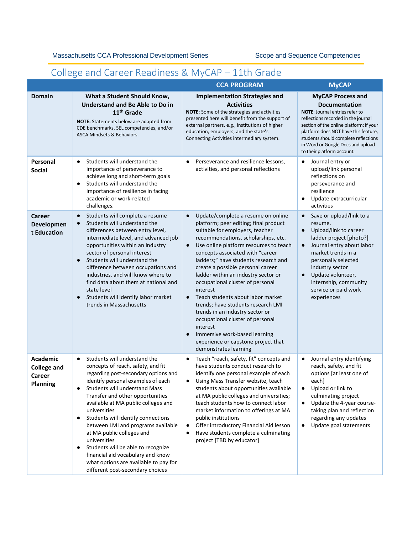# <span id="page-29-0"></span>College and Career Readiness & MyCAP – 11th Grade

|                                                                    |                                                                                                                                                                                                                                                                                                                                                                                                                                                                                                                                                                                              | <b>CCA PROGRAM</b>                                                                                                                                                                                                                                                                                                                                                                                                                                                                                                                                                                                                                                                                                                          | <b>MyCAP</b>                                                                                                                                                                                                                                                                                                            |
|--------------------------------------------------------------------|----------------------------------------------------------------------------------------------------------------------------------------------------------------------------------------------------------------------------------------------------------------------------------------------------------------------------------------------------------------------------------------------------------------------------------------------------------------------------------------------------------------------------------------------------------------------------------------------|-----------------------------------------------------------------------------------------------------------------------------------------------------------------------------------------------------------------------------------------------------------------------------------------------------------------------------------------------------------------------------------------------------------------------------------------------------------------------------------------------------------------------------------------------------------------------------------------------------------------------------------------------------------------------------------------------------------------------------|-------------------------------------------------------------------------------------------------------------------------------------------------------------------------------------------------------------------------------------------------------------------------------------------------------------------------|
| <b>Domain</b>                                                      | What a Student Should Know,<br>Understand and Be Able to Do in<br>11 <sup>th</sup> Grade<br>NOTE: Statements below are adapted from<br>CDE benchmarks, SEL competencies, and/or<br>ASCA Mindsets & Behaviors.                                                                                                                                                                                                                                                                                                                                                                                | <b>Implementation Strategies and</b><br><b>Activities</b><br>NOTE: Some of the strategies and activities<br>presented here will benefit from the support of<br>external partners, e.g., institutions of higher<br>education, employers, and the state's<br>Connecting Activities intermediary system.                                                                                                                                                                                                                                                                                                                                                                                                                       | <b>MyCAP Process and</b><br><b>Documentation</b><br>NOTE: Journal entries refer to<br>reflections recorded in the journal<br>section of the online platform; if your<br>platform does NOT have this feature,<br>students should complete reflections<br>in Word or Google Docs and upload<br>to their platform account. |
| Personal<br><b>Social</b>                                          | Students will understand the<br>$\bullet$<br>importance of perseverance to<br>achieve long and short-term goals<br>Students will understand the<br>$\bullet$<br>importance of resilience in facing<br>academic or work-related<br>challenges.                                                                                                                                                                                                                                                                                                                                                | Perseverance and resilience lessons,<br>$\bullet$<br>activities, and personal reflections                                                                                                                                                                                                                                                                                                                                                                                                                                                                                                                                                                                                                                   | Journal entry or<br>٠<br>upload/link personal<br>reflections on<br>perseverance and<br>resilience<br>Update extracurricular<br>activities                                                                                                                                                                               |
| <b>Career</b><br>Developmen<br>t Education                         | Students will complete a resume<br>$\bullet$<br>Students will understand the<br>$\bullet$<br>differences between entry level,<br>intermediate level, and advanced job<br>opportunities within an industry<br>sector of personal interest<br>Students will understand the<br>$\bullet$<br>difference between occupations and<br>industries, and will know where to<br>find data about them at national and<br>state level<br>Students will identify labor market<br>$\bullet$<br>trends in Massachusetts                                                                                      | Update/complete a resume on online<br>$\bullet$<br>platform; peer editing; final product<br>suitable for employers, teacher<br>recommendations, scholarships, etc.<br>Use online platform resources to teach<br>$\bullet$<br>concepts associated with "career<br>ladders;" have students research and<br>create a possible personal career<br>ladder within an industry sector or<br>occupational cluster of personal<br>interest<br>Teach students about labor market<br>$\epsilon$<br>trends; have students research LMI<br>trends in an industry sector or<br>occupational cluster of personal<br>interest<br>Immersive work-based learning<br>$\bullet$<br>experience or capstone project that<br>demonstrates learning | Save or upload/link to a<br>resume.<br>Upload/link to career<br>$\bullet$<br>ladder project [photo?]<br>Journal entry about labor<br>$\bullet$<br>market trends in a<br>personally selected<br>industry sector<br>Update volunteer,<br>$\bullet$<br>internship, community<br>service or paid work<br>experiences        |
| <b>Academic</b><br><b>College and</b><br>Career<br><b>Planning</b> | Students will understand the<br>$\bullet$<br>concepts of reach, safety, and fit<br>regarding post-secondary options and<br>identify personal examples of each<br>Students will understand Mass<br>Transfer and other opportunities<br>available at MA public colleges and<br>universities<br>Students will identify connections<br>$\bullet$<br>between LMI and programs available<br>at MA public colleges and<br>universities<br>Students will be able to recognize<br>٠<br>financial aid vocabulary and know<br>what options are available to pay for<br>different post-secondary choices | Teach "reach, safety, fit" concepts and<br>$\bullet$<br>have students conduct research to<br>identify one personal example of each<br>Using Mass Transfer website, teach<br>students about opportunities available<br>at MA public colleges and universities;<br>teach students how to connect labor<br>market information to offerings at MA<br>public institutions<br>Offer introductory Financial Aid lesson<br>٠<br>Have students complete a culminating<br>٠<br>project [TBD by educator]                                                                                                                                                                                                                              | Journal entry identifying<br>reach, safety, and fit<br>options [at least one of<br>each]<br>Upload or link to<br>culminating project<br>Update the 4-year course-<br>$\bullet$<br>taking plan and reflection<br>regarding any updates<br>Update goal statements                                                         |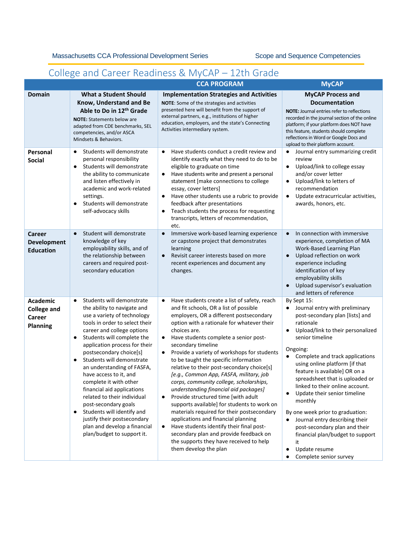# <span id="page-30-0"></span>College and Career Readiness & MyCAP – 12th Grade

|                                                                    |                                                                                                                                                                                                                                                                                                                                                                                                                                                                                                                                                                                                                              | <b>CCA PROGRAM</b>                                                                                                                                                                                                                                                                                                                                                                                                                                                                                                                                                                                                                                                                                                                                                                                                                                                                                                                        | <b>MyCAP</b>                                                                                                                                                                                                                                                                                                                                                                                                                                                                                                                                                                                           |
|--------------------------------------------------------------------|------------------------------------------------------------------------------------------------------------------------------------------------------------------------------------------------------------------------------------------------------------------------------------------------------------------------------------------------------------------------------------------------------------------------------------------------------------------------------------------------------------------------------------------------------------------------------------------------------------------------------|-------------------------------------------------------------------------------------------------------------------------------------------------------------------------------------------------------------------------------------------------------------------------------------------------------------------------------------------------------------------------------------------------------------------------------------------------------------------------------------------------------------------------------------------------------------------------------------------------------------------------------------------------------------------------------------------------------------------------------------------------------------------------------------------------------------------------------------------------------------------------------------------------------------------------------------------|--------------------------------------------------------------------------------------------------------------------------------------------------------------------------------------------------------------------------------------------------------------------------------------------------------------------------------------------------------------------------------------------------------------------------------------------------------------------------------------------------------------------------------------------------------------------------------------------------------|
| <b>Domain</b>                                                      | <b>What a Student Should</b><br>Know, Understand and Be<br>Able to Do in 12th Grade<br><b>NOTE:</b> Statements below are<br>adapted from CDE benchmarks, SEL<br>competencies, and/or ASCA<br>Mindsets & Behaviors.                                                                                                                                                                                                                                                                                                                                                                                                           | <b>Implementation Strategies and Activities</b><br>NOTE: Some of the strategies and activities<br>presented here will benefit from the support of<br>external partners, e.g., institutions of higher<br>education, employers, and the state's Connecting<br>Activities intermediary system.                                                                                                                                                                                                                                                                                                                                                                                                                                                                                                                                                                                                                                               | <b>MyCAP Process and</b><br><b>Documentation</b><br><b>NOTE:</b> Journal entries refer to reflections<br>recorded in the journal section of the online<br>platform; if your platform does NOT have<br>this feature, students should complete<br>reflections in Word or Google Docs and<br>upload to their platform account.                                                                                                                                                                                                                                                                            |
| Personal<br><b>Social</b>                                          | Students will demonstrate<br>$\bullet$<br>personal responsibility<br>Students will demonstrate<br>$\bullet$<br>the ability to communicate<br>and listen effectively in<br>academic and work-related<br>settings.<br>Students will demonstrate<br>$\bullet$<br>self-advocacy skills                                                                                                                                                                                                                                                                                                                                           | Have students conduct a credit review and<br>$\bullet$<br>identify exactly what they need to do to be<br>eligible to graduate on time<br>Have students write and present a personal<br>٠<br>statement [make connections to college<br>essay, cover letters]<br>Have other students use a rubric to provide<br>$\bullet$<br>feedback after presentations<br>Teach students the process for requesting<br>$\bullet$<br>transcripts, letters of recommendation,<br>etc.                                                                                                                                                                                                                                                                                                                                                                                                                                                                      | Journal entry summarizing credit<br>$\bullet$<br>review<br>Upload/link to college essay<br>$\bullet$<br>and/or cover letter<br>Upload/link to letters of<br>$\bullet$<br>recommendation<br>Update extracurricular activities,<br>$\bullet$<br>awards, honors, etc.                                                                                                                                                                                                                                                                                                                                     |
| Career<br><b>Development</b><br><b>Education</b>                   | Student will demonstrate<br>$\bullet$<br>knowledge of key<br>employability skills, and of<br>the relationship between<br>careers and required post-<br>secondary education                                                                                                                                                                                                                                                                                                                                                                                                                                                   | Immersive work-based learning experience<br>$\bullet$<br>or capstone project that demonstrates<br>learning<br>Revisit career interests based on more<br>$\bullet$<br>recent experiences and document any<br>changes.                                                                                                                                                                                                                                                                                                                                                                                                                                                                                                                                                                                                                                                                                                                      | In connection with immersive<br>$\bullet$<br>experience, completion of MA<br>Work-Based Learning Plan<br>Upload reflection on work<br>$\bullet$<br>experience including<br>identification of key<br>employability skills<br>Upload supervisor's evaluation<br>$\bullet$<br>and letters of reference                                                                                                                                                                                                                                                                                                    |
| <b>Academic</b><br><b>College and</b><br>Career<br><b>Planning</b> | Students will demonstrate<br>$\bullet$<br>the ability to navigate and<br>use a variety of technology<br>tools in order to select their<br>career and college options<br>Students will complete the<br>$\bullet$<br>application process for their<br>postsecondary choice[s]<br>Students will demonstrate<br>$\bullet$<br>an understanding of FASFA,<br>have access to it, and<br>complete it with other<br>financial aid applications<br>related to their individual<br>post-secondary goals<br>Students will identify and<br>٠<br>justify their postsecondary<br>plan and develop a financial<br>plan/budget to support it. | Have students create a list of safety, reach<br>$\bullet$<br>and fit schools, OR a list of possible<br>employers, OR a different postsecondary<br>option with a rationale for whatever their<br>choices are.<br>Have students complete a senior post-<br>$\bullet$<br>secondary timeline<br>Provide a variety of workshops for students<br>$\bullet$<br>to be taught the specific information<br>relative to their post-secondary choice[s]<br>[e.g., Common App, FASFA, military, job<br>corps, community college, scholarships,<br>understanding financial aid packages]<br>Provide structured time [with adult<br>$\bullet$<br>supports available] for students to work on<br>materials required for their postsecondary<br>applications and financial planning<br>Have students identify their final post-<br>$\bullet$<br>secondary plan and provide feedback on<br>the supports they have received to help<br>them develop the plan | By Sept 15:<br>Journal entry with preliminary<br>post-secondary plan [lists] and<br>rationale<br>Upload/link to their personalized<br>$\bullet$<br>senior timeline<br>Ongoing:<br>Complete and track applications<br>using online platform [if that<br>feature is available] OR on a<br>spreadsheet that is uploaded or<br>linked to their online account.<br>Update their senior timeline<br>monthly<br>By one week prior to graduation:<br>Journal entry describing their<br>post-secondary plan and their<br>financial plan/budget to support<br>it<br>Update resume<br>٠<br>Complete senior survey |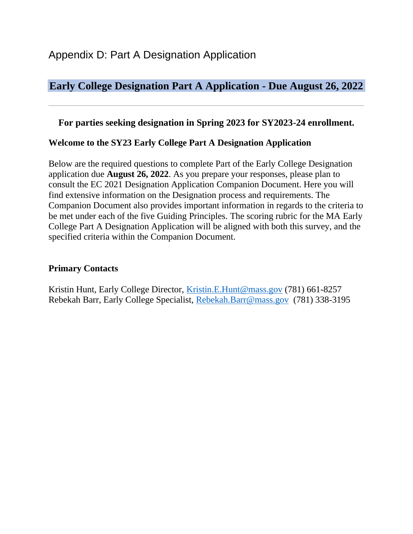# <span id="page-31-0"></span>**Early College Designation Part A Application - Due August 26, 2022**

# **For parties seeking designation in Spring 2023 for SY2023-24 enrollment.**

## **Welcome to the SY23 Early College Part A Designation Application**

Below are the required questions to complete Part of the Early College Designation application due **August 26, 2022**. As you prepare your responses, please plan to consult the EC 2021 Designation Application Companion Document. Here you will find extensive information on the Designation process and requirements. The Companion Document also provides important information in regards to the criteria to be met under each of the five Guiding Principles. The scoring rubric for the MA Early College Part A Designation Application will be aligned with both this survey, and the specified criteria within the Companion Document.

## **Primary Contacts**

Kristin Hunt, Early College Director, [Kristin.E.Hunt@mass.gov](mailto:Kristin.E.Hunt@mass.gov) (781) 661-8257 Rebekah Barr, Early College Specialist, [Rebekah.Barr@mass.gov](mailto:Rebekah.Barr@mass.gov) (781) 338-3195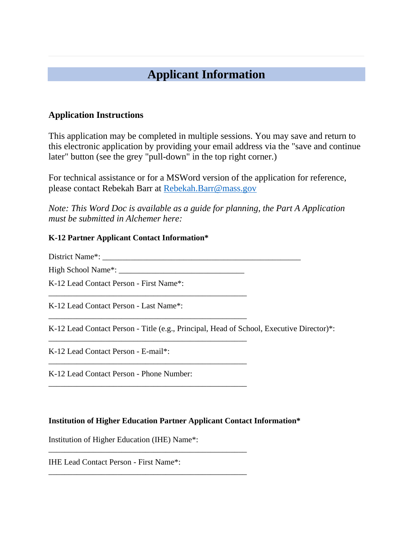# **Applicant Information**

### **Application Instructions**

This application may be completed in multiple sessions. You may save and return to this electronic application by providing your email address via the "save and continue later" button (see the grey "pull-down" in the top right corner.)

For technical assistance or for a MSWord version of the application for reference, please contact Rebekah Barr at [Rebekah.Barr@mass.gov](mailto:Rebekah.Barr@mass.gov)

*Note: This Word Doc is available as a guide for planning, the Part A Application must be submitted in Alchemer here:* 

#### **K-12 Partner Applicant Contact Information\***

District Name\*: \_\_\_\_\_\_\_\_\_\_\_\_\_\_\_\_\_\_\_\_\_\_\_\_\_\_\_\_\_\_\_\_\_\_\_\_\_\_\_\_\_\_\_\_\_\_\_\_\_

\_\_\_\_\_\_\_\_\_\_\_\_\_\_\_\_\_\_\_\_\_\_\_\_\_\_\_\_\_\_\_\_\_\_\_\_\_\_\_\_\_\_\_\_\_\_\_\_\_

\_\_\_\_\_\_\_\_\_\_\_\_\_\_\_\_\_\_\_\_\_\_\_\_\_\_\_\_\_\_\_\_\_\_\_\_\_\_\_\_\_\_\_\_\_\_\_\_\_

\_\_\_\_\_\_\_\_\_\_\_\_\_\_\_\_\_\_\_\_\_\_\_\_\_\_\_\_\_\_\_\_\_\_\_\_\_\_\_\_\_\_\_\_\_\_\_\_\_

\_\_\_\_\_\_\_\_\_\_\_\_\_\_\_\_\_\_\_\_\_\_\_\_\_\_\_\_\_\_\_\_\_\_\_\_\_\_\_\_\_\_\_\_\_\_\_\_\_

\_\_\_\_\_\_\_\_\_\_\_\_\_\_\_\_\_\_\_\_\_\_\_\_\_\_\_\_\_\_\_\_\_\_\_\_\_\_\_\_\_\_\_\_\_\_\_\_\_

\_\_\_\_\_\_\_\_\_\_\_\_\_\_\_\_\_\_\_\_\_\_\_\_\_\_\_\_\_\_\_\_\_\_\_\_\_\_\_\_\_\_\_\_\_\_\_\_\_

High School Name\*: \_\_\_\_\_\_\_\_\_\_\_\_\_\_\_\_\_\_\_\_\_\_\_\_\_\_\_\_\_\_\_

K-12 Lead Contact Person - First Name\*: \_\_\_\_\_\_\_\_\_\_\_\_\_\_\_\_\_\_\_\_\_\_\_\_\_\_\_\_\_\_\_\_\_\_\_\_\_\_\_\_\_\_\_\_\_\_\_\_\_

K-12 Lead Contact Person - Last Name\*:

K-12 Lead Contact Person - Title (e.g., Principal, Head of School, Executive Director)\*:

K-12 Lead Contact Person - E-mail\*:

K-12 Lead Contact Person - Phone Number:

#### **Institution of Higher Education Partner Applicant Contact Information\***

Institution of Higher Education (IHE) Name\*:

IHE Lead Contact Person - First Name\*: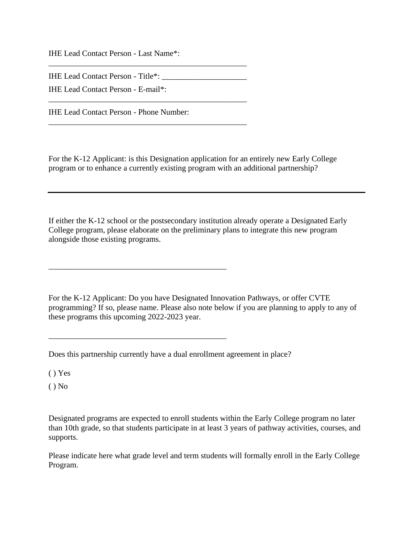IHE Lead Contact Person - Last Name\*:

IHE Lead Contact Person - Title\*: \_\_\_\_\_\_\_\_\_\_\_\_\_\_\_\_\_\_\_\_\_

\_\_\_\_\_\_\_\_\_\_\_\_\_\_\_\_\_\_\_\_\_\_\_\_\_\_\_\_\_\_\_\_\_\_\_\_\_\_\_\_\_\_\_\_\_\_\_\_\_

\_\_\_\_\_\_\_\_\_\_\_\_\_\_\_\_\_\_\_\_\_\_\_\_\_\_\_\_\_\_\_\_\_\_\_\_\_\_\_\_\_\_\_\_\_\_\_\_\_

\_\_\_\_\_\_\_\_\_\_\_\_\_\_\_\_\_\_\_\_\_\_\_\_\_\_\_\_\_\_\_\_\_\_\_\_\_\_\_\_\_\_\_\_\_\_\_\_\_

IHE Lead Contact Person - E-mail\*:

IHE Lead Contact Person - Phone Number:

For the K-12 Applicant: is this Designation application for an entirely new Early College program or to enhance a currently existing program with an additional partnership?

If either the K-12 school or the postsecondary institution already operate a Designated Early College program, please elaborate on the preliminary plans to integrate this new program alongside those existing programs.

For the K-12 Applicant: Do you have Designated Innovation Pathways, or offer CVTE programming? If so, please name. Please also note below if you are planning to apply to any of these programs this upcoming 2022-2023 year.

Does this partnership currently have a dual enrollment agreement in place?

 $\mathcal{L}_\text{max}$  and  $\mathcal{L}_\text{max}$  and  $\mathcal{L}_\text{max}$  and  $\mathcal{L}_\text{max}$ 

\_\_\_\_\_\_\_\_\_\_\_\_\_\_\_\_\_\_\_\_\_\_\_\_\_\_\_\_\_\_\_\_\_\_\_\_\_\_\_\_\_\_\_\_

 $() Yes$ 

 $()$  No

Designated programs are expected to enroll students within the Early College program no later than 10th grade, so that students participate in at least 3 years of pathway activities, courses, and supports.

Please indicate here what grade level and term students will formally enroll in the Early College Program.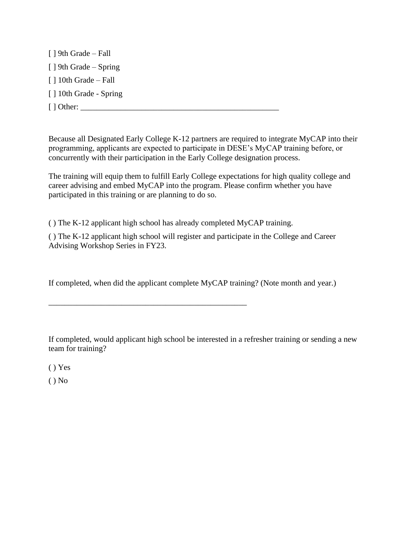[ ] 9th Grade – Fall [ ] 9th Grade – Spring [ ] 10th Grade – Fall [] 10th Grade - Spring [ ] Other: \_\_\_\_\_\_\_\_\_\_\_\_\_\_\_\_\_\_\_\_\_\_\_\_\_\_\_\_\_\_\_\_\_\_\_\_\_\_\_\_\_\_\_\_\_\_\_\_\_

Because all Designated Early College K-12 partners are required to integrate MyCAP into their programming, applicants are expected to participate in DESE's MyCAP training before, or concurrently with their participation in the Early College designation process.

The training will equip them to fulfill Early College expectations for high quality college and career advising and embed MyCAP into the program. Please confirm whether you have participated in this training or are planning to do so.

( ) The K-12 applicant high school has already completed MyCAP training.

\_\_\_\_\_\_\_\_\_\_\_\_\_\_\_\_\_\_\_\_\_\_\_\_\_\_\_\_\_\_\_\_\_\_\_\_\_\_\_\_\_\_\_\_\_\_\_\_\_

( ) The K-12 applicant high school will register and participate in the College and Career Advising Workshop Series in FY23.

If completed, when did the applicant complete MyCAP training? (Note month and year.)

If completed, would applicant high school be interested in a refresher training or sending a new team for training?

( ) Yes

 $()$  No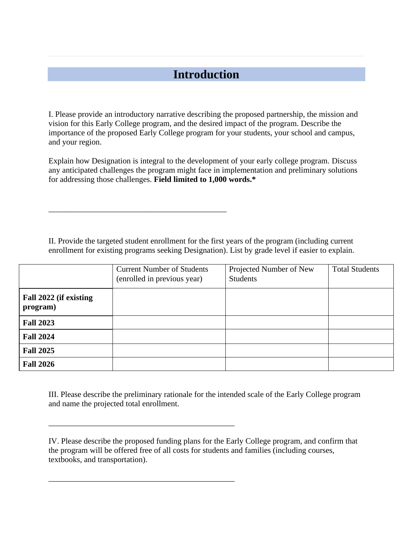# **Introduction**

I. Please provide an introductory narrative describing the proposed partnership, the mission and vision for this Early College program, and the desired impact of the program. Describe the importance of the proposed Early College program for your students, your school and campus, and your region.

Explain how Designation is integral to the development of your early college program. Discuss any anticipated challenges the program might face in implementation and preliminary solutions for addressing those challenges. **Field limited to 1,000 words.\***

II. Provide the targeted student enrollment for the first years of the program (including current enrollment for existing programs seeking Designation). List by grade level if easier to explain.

\_\_\_\_\_\_\_\_\_\_\_\_\_\_\_\_\_\_\_\_\_\_\_\_\_\_\_\_\_\_\_\_\_\_\_\_\_\_\_\_\_\_\_\_

\_\_\_\_\_\_\_\_\_\_\_\_\_\_\_\_\_\_\_\_\_\_\_\_\_\_\_\_\_\_\_\_\_\_\_\_\_\_\_\_\_\_\_\_\_\_

\_\_\_\_\_\_\_\_\_\_\_\_\_\_\_\_\_\_\_\_\_\_\_\_\_\_\_\_\_\_\_\_\_\_\_\_\_\_\_\_\_\_\_\_\_\_

|                                    | <b>Current Number of Students</b><br>(enrolled in previous year) | Projected Number of New<br><b>Students</b> | <b>Total Students</b> |
|------------------------------------|------------------------------------------------------------------|--------------------------------------------|-----------------------|
| Fall 2022 (if existing<br>program) |                                                                  |                                            |                       |
| <b>Fall 2023</b>                   |                                                                  |                                            |                       |
| <b>Fall 2024</b>                   |                                                                  |                                            |                       |
| <b>Fall 2025</b>                   |                                                                  |                                            |                       |
| <b>Fall 2026</b>                   |                                                                  |                                            |                       |

III. Please describe the preliminary rationale for the intended scale of the Early College program and name the projected total enrollment.

IV. Please describe the proposed funding plans for the Early College program, and confirm that the program will be offered free of all costs for students and families (including courses, textbooks, and transportation).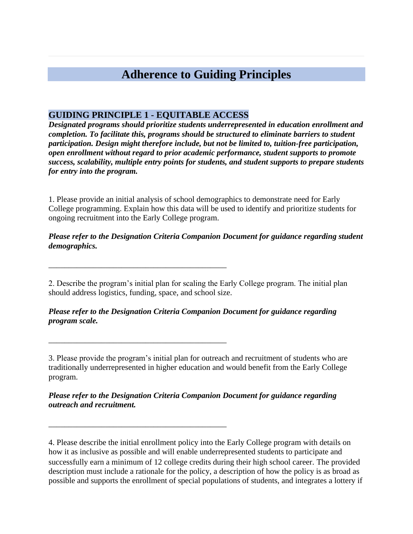# **Adherence to Guiding Principles**

### **GUIDING PRINCIPLE 1 - EQUITABLE ACCESS**

\_\_\_\_\_\_\_\_\_\_\_\_\_\_\_\_\_\_\_\_\_\_\_\_\_\_\_\_\_\_\_\_\_\_\_\_\_\_\_\_\_\_\_\_

\_\_\_\_\_\_\_\_\_\_\_\_\_\_\_\_\_\_\_\_\_\_\_\_\_\_\_\_\_\_\_\_\_\_\_\_\_\_\_\_\_\_\_\_

\_\_\_\_\_\_\_\_\_\_\_\_\_\_\_\_\_\_\_\_\_\_\_\_\_\_\_\_\_\_\_\_\_\_\_\_\_\_\_\_\_\_\_\_

*Designated programs should prioritize students underrepresented in education enrollment and completion. To facilitate this, programs should be structured to eliminate barriers to student participation. Design might therefore include, but not be limited to, tuition-free participation, open enrollment without regard to prior academic performance, student supports to promote success, scalability, multiple entry points for students, and student supports to prepare students for entry into the program.* 

1. Please provide an initial analysis of school demographics to demonstrate need for Early College programming. Explain how this data will be used to identify and prioritize students for ongoing recruitment into the Early College program.

#### *Please refer to the Designation Criteria Companion Document for guidance regarding student demographics.*

2. Describe the program's initial plan for scaling the Early College program. The initial plan should address logistics, funding, space, and school size.

*Please refer to the Designation Criteria Companion Document for guidance regarding program scale.*

3. Please provide the program's initial plan for outreach and recruitment of students who are traditionally underrepresented in higher education and would benefit from the Early College program.

*Please refer to the Designation Criteria Companion Document for guidance regarding outreach and recruitment.*

4. Please describe the initial enrollment policy into the Early College program with details on how it as inclusive as possible and will enable underrepresented students to participate and successfully earn a minimum of 12 college credits during their high school career. The provided description must include a rationale for the policy, a description of how the policy is as broad as possible and supports the enrollment of special populations of students, and integrates a lottery if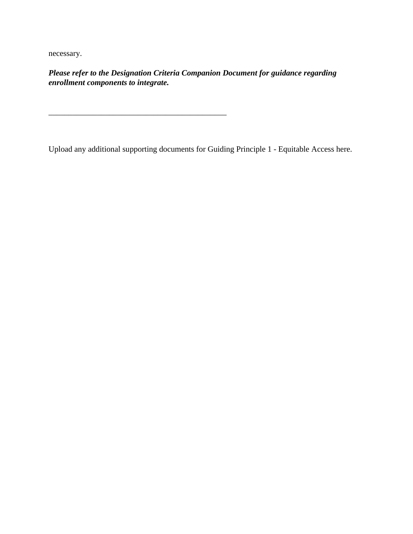necessary.

*Please refer to the Designation Criteria Companion Document for guidance regarding enrollment components to integrate.* 

\_\_\_\_\_\_\_\_\_\_\_\_\_\_\_\_\_\_\_\_\_\_\_\_\_\_\_\_\_\_\_\_\_\_\_\_\_\_\_\_\_\_\_\_

Upload any additional supporting documents for Guiding Principle 1 - Equitable Access here.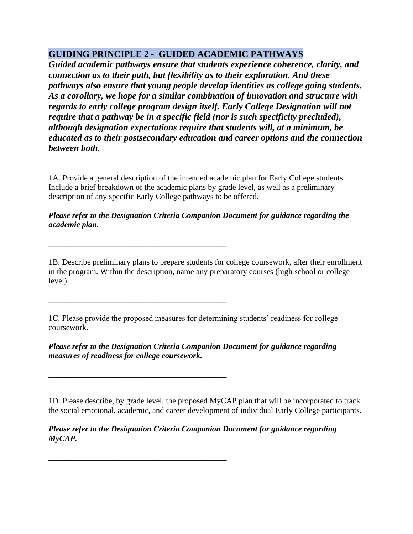## **GUIDING PRINCIPLE 2 - GUIDED ACADEMIC PATHWAYS**

*Guided academic pathways ensure that students experience coherence, clarity, and connection as to their path, but flexibility as to their exploration. And these pathways also ensure that young people develop identities as college going students. As a corollary, we hope for a similar combination of innovation and structure with regards to early college program design itself. Early College Designation will not require that a pathway be in a specific field (nor is such specificity precluded), although designation expectations require that students will, at a minimum, be educated as to their postsecondary education and career options and the connection between both.* 

1A. Provide a general description of the intended academic plan for Early College students. Include a brief breakdown of the academic plans by grade level, as well as a preliminary description of any specific Early College pathways to be offered.

#### *Please refer to the Designation Criteria Companion Document for guidance regarding the academic plan.*

\_\_\_\_\_\_\_\_\_\_\_\_\_\_\_\_\_\_\_\_\_\_\_\_\_\_\_\_\_\_\_\_\_\_\_\_\_\_\_\_\_\_\_\_

\_\_\_\_\_\_\_\_\_\_\_\_\_\_\_\_\_\_\_\_\_\_\_\_\_\_\_\_\_\_\_\_\_\_\_\_\_\_\_\_\_\_\_\_

\_\_\_\_\_\_\_\_\_\_\_\_\_\_\_\_\_\_\_\_\_\_\_\_\_\_\_\_\_\_\_\_\_\_\_\_\_\_\_\_\_\_\_\_

\_\_\_\_\_\_\_\_\_\_\_\_\_\_\_\_\_\_\_\_\_\_\_\_\_\_\_\_\_\_\_\_\_\_\_\_\_\_\_\_\_\_\_\_

1B. Describe preliminary plans to prepare students for college coursework, after their enrollment in the program. Within the description, name any preparatory courses (high school or college level).

1C. Please provide the proposed measures for determining students' readiness for college coursework.

*Please refer to the Designation Criteria Companion Document for guidance regarding measures of readiness for college coursework.* 

1D. Please describe, by grade level, the proposed MyCAP plan that will be incorporated to track the social emotional, academic, and career development of individual Early College participants.

*Please refer to the Designation Criteria Companion Document for guidance regarding MyCAP.*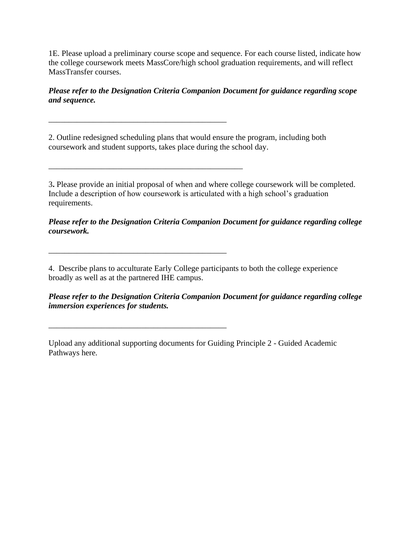1E. Please upload a preliminary course scope and sequence. For each course listed, indicate how the college coursework meets MassCore/high school graduation requirements, and will reflect MassTransfer courses.

*Please refer to the Designation Criteria Companion Document for guidance regarding scope and sequence.* 

2. Outline redesigned scheduling plans that would ensure the program, including both coursework and student supports, takes place during the school day.

\_\_\_\_\_\_\_\_\_\_\_\_\_\_\_\_\_\_\_\_\_\_\_\_\_\_\_\_\_\_\_\_\_\_\_\_\_\_\_\_\_\_\_\_

\_\_\_\_\_\_\_\_\_\_\_\_\_\_\_\_\_\_\_\_\_\_\_\_\_\_\_\_\_\_\_\_\_\_\_\_\_\_\_\_\_\_\_\_\_\_\_\_

\_\_\_\_\_\_\_\_\_\_\_\_\_\_\_\_\_\_\_\_\_\_\_\_\_\_\_\_\_\_\_\_\_\_\_\_\_\_\_\_\_\_\_\_

\_\_\_\_\_\_\_\_\_\_\_\_\_\_\_\_\_\_\_\_\_\_\_\_\_\_\_\_\_\_\_\_\_\_\_\_\_\_\_\_\_\_\_\_

3**.** Please provide an initial proposal of when and where college coursework will be completed. Include a description of how coursework is articulated with a high school's graduation requirements.

*Please refer to the Designation Criteria Companion Document for guidance regarding college coursework.* 

4. Describe plans to acculturate Early College participants to both the college experience broadly as well as at the partnered IHE campus.

*Please refer to the Designation Criteria Companion Document for guidance regarding college immersion experiences for students.* 

Upload any additional supporting documents for Guiding Principle 2 - Guided Academic Pathways here.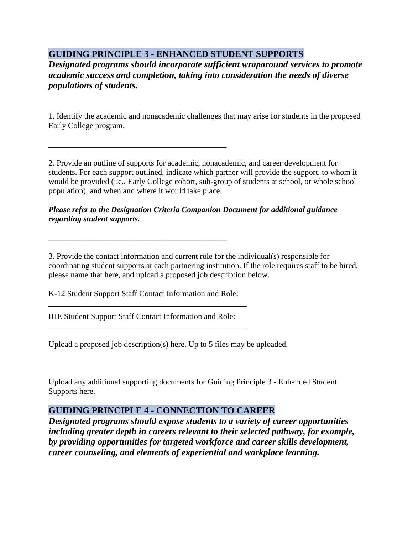## **GUIDING PRINCIPLE 3 - ENHANCED STUDENT SUPPORTS**

*Designated programs should incorporate sufficient wraparound services to promote academic success and completion, taking into consideration the needs of diverse populations of students.*

1. Identify the academic and nonacademic challenges that may arise for students in the proposed Early College program.

2. Provide an outline of supports for academic, nonacademic, and career development for students. For each support outlined, indicate which partner will provide the support, to whom it would be provided (i.e., Early College cohort, sub-group of students at school, or whole school population), and when and where it would take place.

#### *Please refer to the Designation Criteria Companion Document for additional guidance regarding student supports.*

3. Provide the contact information and current role for the individual(s) responsible for coordinating student supports at each partnering institution. If the role requires staff to be hired, please name that here, and upload a proposed job description below.

K-12 Student Support Staff Contact Information and Role: \_\_\_\_\_\_\_\_\_\_\_\_\_\_\_\_\_\_\_\_\_\_\_\_\_\_\_\_\_\_\_\_\_\_\_\_\_\_\_\_\_\_\_\_\_\_\_\_\_

\_\_\_\_\_\_\_\_\_\_\_\_\_\_\_\_\_\_\_\_\_\_\_\_\_\_\_\_\_\_\_\_\_\_\_\_\_\_\_\_\_\_\_\_

\_\_\_\_\_\_\_\_\_\_\_\_\_\_\_\_\_\_\_\_\_\_\_\_\_\_\_\_\_\_\_\_\_\_\_\_\_\_\_\_\_\_\_\_

IHE Student Support Staff Contact Information and Role:

\_\_\_\_\_\_\_\_\_\_\_\_\_\_\_\_\_\_\_\_\_\_\_\_\_\_\_\_\_\_\_\_\_\_\_\_\_\_\_\_\_\_\_\_\_\_\_\_\_

Upload a proposed job description(s) here. Up to 5 files may be uploaded.

Upload any additional supporting documents for Guiding Principle 3 - Enhanced Student Supports here.

## **GUIDING PRINCIPLE 4 - CONNECTION TO CAREER**

*Designated programs should expose students to a variety of career opportunities including greater depth in careers relevant to their selected pathway, for example, by providing opportunities for targeted workforce and career skills development, career counseling, and elements of experiential and workplace learning.*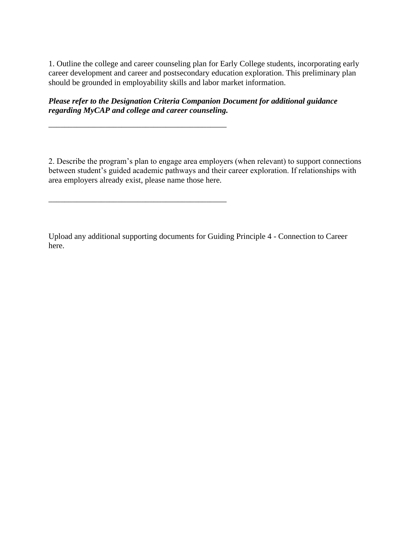1. Outline the college and career counseling plan for Early College students, incorporating early career development and career and postsecondary education exploration. This preliminary plan should be grounded in employability skills and labor market information.

*Please refer to the Designation Criteria Companion Document for additional guidance regarding MyCAP and college and career counseling.*

\_\_\_\_\_\_\_\_\_\_\_\_\_\_\_\_\_\_\_\_\_\_\_\_\_\_\_\_\_\_\_\_\_\_\_\_\_\_\_\_\_\_\_\_

\_\_\_\_\_\_\_\_\_\_\_\_\_\_\_\_\_\_\_\_\_\_\_\_\_\_\_\_\_\_\_\_\_\_\_\_\_\_\_\_\_\_\_\_

2. Describe the program's plan to engage area employers (when relevant) to support connections between student's guided academic pathways and their career exploration. If relationships with area employers already exist, please name those here.

Upload any additional supporting documents for Guiding Principle 4 - Connection to Career here.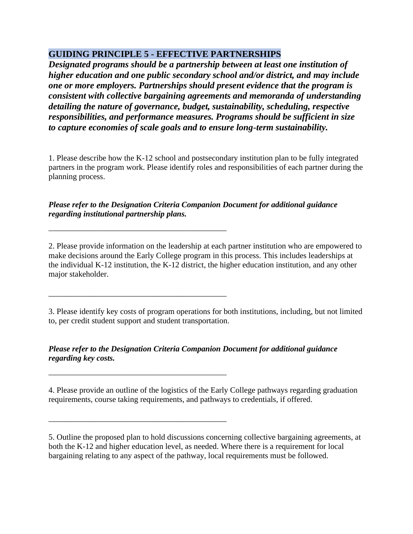## **GUIDING PRINCIPLE 5 - EFFECTIVE PARTNERSHIPS**

*Designated programs should be a partnership between at least one institution of higher education and one public secondary school and/or district, and may include one or more employers. Partnerships should present evidence that the program is consistent with collective bargaining agreements and memoranda of understanding detailing the nature of governance, budget, sustainability, scheduling, respective responsibilities, and performance measures. Programs should be sufficient in size to capture economies of scale goals and to ensure long-term sustainability.*

1. Please describe how the K-12 school and postsecondary institution plan to be fully integrated partners in the program work. Please identify roles and responsibilities of each partner during the planning process.

*Please refer to the Designation Criteria Companion Document for additional guidance regarding institutional partnership plans.*

\_\_\_\_\_\_\_\_\_\_\_\_\_\_\_\_\_\_\_\_\_\_\_\_\_\_\_\_\_\_\_\_\_\_\_\_\_\_\_\_\_\_\_\_

\_\_\_\_\_\_\_\_\_\_\_\_\_\_\_\_\_\_\_\_\_\_\_\_\_\_\_\_\_\_\_\_\_\_\_\_\_\_\_\_\_\_\_\_

\_\_\_\_\_\_\_\_\_\_\_\_\_\_\_\_\_\_\_\_\_\_\_\_\_\_\_\_\_\_\_\_\_\_\_\_\_\_\_\_\_\_\_\_

\_\_\_\_\_\_\_\_\_\_\_\_\_\_\_\_\_\_\_\_\_\_\_\_\_\_\_\_\_\_\_\_\_\_\_\_\_\_\_\_\_\_\_\_

2. Please provide information on the leadership at each partner institution who are empowered to make decisions around the Early College program in this process. This includes leaderships at the individual K-12 institution, the K-12 district, the higher education institution, and any other major stakeholder.

3. Please identify key costs of program operations for both institutions, including, but not limited to, per credit student support and student transportation.

*Please refer to the Designation Criteria Companion Document for additional guidance regarding key costs.*

4. Please provide an outline of the logistics of the Early College pathways regarding graduation requirements, course taking requirements, and pathways to credentials, if offered.

5. Outline the proposed plan to hold discussions concerning collective bargaining agreements, at both the K-12 and higher education level, as needed. Where there is a requirement for local bargaining relating to any aspect of the pathway, local requirements must be followed.